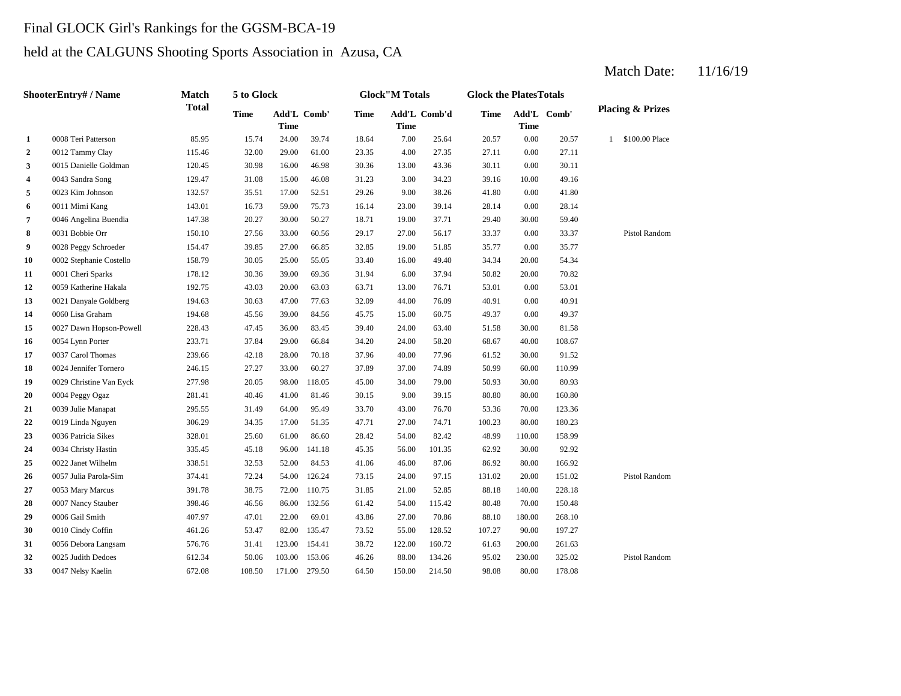# Final GLOCK Girl's Rankings for the GGSM-BCA-19

# held at the CALGUNS Shooting Sports Association in Azusa, CA

### Match Date: 11/16/19

|                | ShooterEntry# / Name    | <b>Match</b> | 5 to Glock  |                            |        |             | <b>Glock</b> "M Totals |              | <b>Glock the PlatesTotals</b> |             |             |                                |
|----------------|-------------------------|--------------|-------------|----------------------------|--------|-------------|------------------------|--------------|-------------------------------|-------------|-------------|--------------------------------|
|                |                         | <b>Total</b> | <b>Time</b> | Add'L Comb'<br><b>Time</b> |        | <b>Time</b> | <b>Time</b>            | Add'L Comb'd | <b>Time</b>                   | <b>Time</b> | Add'L Comb' | <b>Placing &amp; Prizes</b>    |
| 1              | 0008 Teri Patterson     | 85.95        | 15.74       | 24.00                      | 39.74  | 18.64       | 7.00                   | 25.64        | 20.57                         | 0.00        | 20.57       | \$100.00 Place<br>$\mathbf{1}$ |
| $\overline{2}$ | 0012 Tammy Clay         | 115.46       | 32.00       | 29.00                      | 61.00  | 23.35       | 4.00                   | 27.35        | 27.11                         | 0.00        | 27.11       |                                |
| 3              | 0015 Danielle Goldman   | 120.45       | 30.98       | 16.00                      | 46.98  | 30.36       | 13.00                  | 43.36        | 30.11                         | 0.00        | 30.11       |                                |
| 4              | 0043 Sandra Song        | 129.47       | 31.08       | 15.00                      | 46.08  | 31.23       | 3.00                   | 34.23        | 39.16                         | 10.00       | 49.16       |                                |
| 5              | 0023 Kim Johnson        | 132.57       | 35.51       | 17.00                      | 52.51  | 29.26       | 9.00                   | 38.26        | 41.80                         | 0.00        | 41.80       |                                |
| 6              | 0011 Mimi Kang          | 143.01       | 16.73       | 59.00                      | 75.73  | 16.14       | 23.00                  | 39.14        | 28.14                         | 0.00        | 28.14       |                                |
| $\overline{7}$ | 0046 Angelina Buendia   | 147.38       | 20.27       | 30.00                      | 50.27  | 18.71       | 19.00                  | 37.71        | 29.40                         | 30.00       | 59.40       |                                |
| 8              | 0031 Bobbie Orr         | 150.10       | 27.56       | 33.00                      | 60.56  | 29.17       | 27.00                  | 56.17        | 33.37                         | 0.00        | 33.37       | Pistol Random                  |
| 9              | 0028 Peggy Schroeder    | 154.47       | 39.85       | 27.00                      | 66.85  | 32.85       | 19.00                  | 51.85        | 35.77                         | 0.00        | 35.77       |                                |
| 10             | 0002 Stephanie Costello | 158.79       | 30.05       | 25.00                      | 55.05  | 33.40       | 16.00                  | 49.40        | 34.34                         | 20.00       | 54.34       |                                |
| 11             | 0001 Cheri Sparks       | 178.12       | 30.36       | 39.00                      | 69.36  | 31.94       | 6.00                   | 37.94        | 50.82                         | 20.00       | 70.82       |                                |
| 12             | 0059 Katherine Hakala   | 192.75       | 43.03       | 20.00                      | 63.03  | 63.71       | 13.00                  | 76.71        | 53.01                         | 0.00        | 53.01       |                                |
| 13             | 0021 Danyale Goldberg   | 194.63       | 30.63       | 47.00                      | 77.63  | 32.09       | 44.00                  | 76.09        | 40.91                         | 0.00        | 40.91       |                                |
| 14             | 0060 Lisa Graham        | 194.68       | 45.56       | 39.00                      | 84.56  | 45.75       | 15.00                  | 60.75        | 49.37                         | 0.00        | 49.37       |                                |
| 15             | 0027 Dawn Hopson-Powell | 228.43       | 47.45       | 36.00                      | 83.45  | 39.40       | 24.00                  | 63.40        | 51.58                         | 30.00       | 81.58       |                                |
| 16             | 0054 Lynn Porter        | 233.71       | 37.84       | 29.00                      | 66.84  | 34.20       | 24.00                  | 58.20        | 68.67                         | 40.00       | 108.67      |                                |
| 17             | 0037 Carol Thomas       | 239.66       | 42.18       | 28.00                      | 70.18  | 37.96       | 40.00                  | 77.96        | 61.52                         | 30.00       | 91.52       |                                |
| 18             | 0024 Jennifer Tornero   | 246.15       | 27.27       | 33.00                      | 60.27  | 37.89       | 37.00                  | 74.89        | 50.99                         | 60.00       | 110.99      |                                |
| 19             | 0029 Christine Van Eyck | 277.98       | 20.05       | 98.00                      | 118.05 | 45.00       | 34.00                  | 79.00        | 50.93                         | 30.00       | 80.93       |                                |
| 20             | 0004 Peggy Ogaz         | 281.41       | 40.46       | 41.00                      | 81.46  | 30.15       | 9.00                   | 39.15        | 80.80                         | 80.00       | 160.80      |                                |
| 21             | 0039 Julie Manapat      | 295.55       | 31.49       | 64.00                      | 95.49  | 33.70       | 43.00                  | 76.70        | 53.36                         | 70.00       | 123.36      |                                |
| 22             | 0019 Linda Nguyen       | 306.29       | 34.35       | 17.00                      | 51.35  | 47.71       | 27.00                  | 74.71        | 100.23                        | 80.00       | 180.23      |                                |
| 23             | 0036 Patricia Sikes     | 328.01       | 25.60       | 61.00                      | 86.60  | 28.42       | 54.00                  | 82.42        | 48.99                         | 110.00      | 158.99      |                                |
| 24             | 0034 Christy Hastin     | 335.45       | 45.18       | 96.00                      | 141.18 | 45.35       | 56.00                  | 101.35       | 62.92                         | 30.00       | 92.92       |                                |
| 25             | 0022 Janet Wilhelm      | 338.51       | 32.53       | 52.00                      | 84.53  | 41.06       | 46.00                  | 87.06        | 86.92                         | 80.00       | 166.92      |                                |
| 26             | 0057 Julia Parola-Sim   | 374.41       | 72.24       | 54.00                      | 126.24 | 73.15       | 24.00                  | 97.15        | 131.02                        | 20.00       | 151.02      | Pistol Random                  |
| 27             | 0053 Mary Marcus        | 391.78       | 38.75       | 72.00                      | 110.75 | 31.85       | 21.00                  | 52.85        | 88.18                         | 140.00      | 228.18      |                                |
| 28             | 0007 Nancy Stauber      | 398.46       | 46.56       | 86.00                      | 132.56 | 61.42       | 54.00                  | 115.42       | 80.48                         | 70.00       | 150.48      |                                |
| 29             | 0006 Gail Smith         | 407.97       | 47.01       | 22.00                      | 69.01  | 43.86       | 27.00                  | 70.86        | 88.10                         | 180.00      | 268.10      |                                |
| 30             | 0010 Cindy Coffin       | 461.26       | 53.47       | 82.00                      | 135.47 | 73.52       | 55.00                  | 128.52       | 107.27                        | 90.00       | 197.27      |                                |
| 31             | 0056 Debora Langsam     | 576.76       | 31.41       | 123.00                     | 154.41 | 38.72       | 122.00                 | 160.72       | 61.63                         | 200.00      | 261.63      |                                |
| 32             | 0025 Judith Dedoes      | 612.34       | 50.06       | 103.00                     | 153.06 | 46.26       | 88.00                  | 134.26       | 95.02                         | 230.00      | 325.02      | Pistol Random                  |
| 33             | 0047 Nelsy Kaelin       | 672.08       | 108.50      | 171.00                     | 279.50 | 64.50       | 150.00                 | 214.50       | 98.08                         | 80.00       | 178.08      |                                |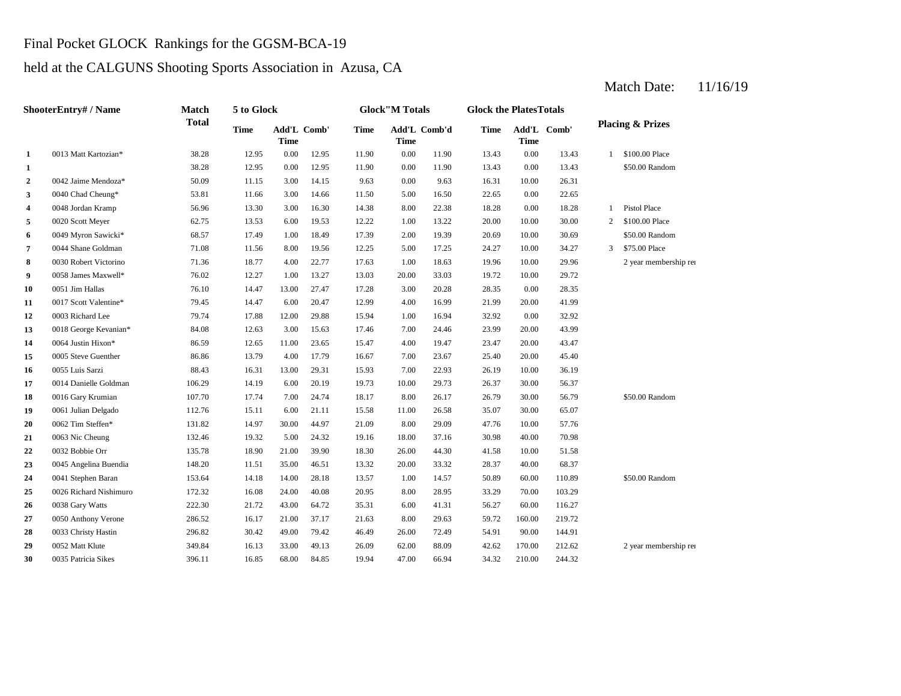# Final Pocket GLOCK Rankings for the GGSM-BCA-19

# held at the CALGUNS Shooting Sports Association in Azusa, CA

Match Date: 11/16/19

|              | ShooterEntry# / Name   | <b>Match</b> | 5 to Glock  |                            |       |             | <b>Glock</b> "M Totals |              | <b>Glock the PlatesTotals</b> |             |             |   |                             |
|--------------|------------------------|--------------|-------------|----------------------------|-------|-------------|------------------------|--------------|-------------------------------|-------------|-------------|---|-----------------------------|
|              |                        | <b>Total</b> | <b>Time</b> | Add'L Comb'<br><b>Time</b> |       | <b>Time</b> | <b>Time</b>            | Add'L Comb'd | <b>Time</b>                   | <b>Time</b> | Add'L Comb' |   | <b>Placing &amp; Prizes</b> |
| 1            | 0013 Matt Kartozian*   | 38.28        | 12.95       | 0.00                       | 12.95 | 11.90       | 0.00                   | 11.90        | 13.43                         | 0.00        | 13.43       | 1 | \$100.00 Place              |
| 1            |                        | 38.28        | 12.95       | 0.00                       | 12.95 | 11.90       | 0.00                   | 11.90        | 13.43                         | 0.00        | 13.43       |   | \$50.00 Random              |
| $\mathbf{2}$ | 0042 Jaime Mendoza*    | 50.09        | 11.15       | 3.00                       | 14.15 | 9.63        | 0.00                   | 9.63         | 16.31                         | 10.00       | 26.31       |   |                             |
| 3            | 0040 Chad Cheung*      | 53.81        | 11.66       | 3.00                       | 14.66 | 11.50       | 5.00                   | 16.50        | 22.65                         | 0.00        | 22.65       |   |                             |
| 4            | 0048 Jordan Kramp      | 56.96        | 13.30       | 3.00                       | 16.30 | 14.38       | 8.00                   | 22.38        | 18.28                         | 0.00        | 18.28       | 1 | <b>Pistol Place</b>         |
| 5            | 0020 Scott Meyer       | 62.75        | 13.53       | 6.00                       | 19.53 | 12.22       | 1.00                   | 13.22        | 20.00                         | 10.00       | 30.00       | 2 | \$100.00 Place              |
| 6            | 0049 Myron Sawicki*    | 68.57        | 17.49       | 1.00                       | 18.49 | 17.39       | 2.00                   | 19.39        | 20.69                         | 10.00       | 30.69       |   | \$50.00 Random              |
| 7            | 0044 Shane Goldman     | 71.08        | 11.56       | 8.00                       | 19.56 | 12.25       | 5.00                   | 17.25        | 24.27                         | 10.00       | 34.27       | 3 | \$75.00 Place               |
| 8            | 0030 Robert Victorino  | 71.36        | 18.77       | 4.00                       | 22.77 | 17.63       | 1.00                   | 18.63        | 19.96                         | 10.00       | 29.96       |   | 2 year membership rei       |
| 9            | 0058 James Maxwell*    | 76.02        | 12.27       | 1.00                       | 13.27 | 13.03       | 20.00                  | 33.03        | 19.72                         | 10.00       | 29.72       |   |                             |
| 10           | 0051 Jim Hallas        | 76.10        | 14.47       | 13.00                      | 27.47 | 17.28       | 3.00                   | 20.28        | 28.35                         | 0.00        | 28.35       |   |                             |
| 11           | 0017 Scott Valentine*  | 79.45        | 14.47       | 6.00                       | 20.47 | 12.99       | 4.00                   | 16.99        | 21.99                         | 20.00       | 41.99       |   |                             |
| 12           | 0003 Richard Lee       | 79.74        | 17.88       | 12.00                      | 29.88 | 15.94       | 1.00                   | 16.94        | 32.92                         | 0.00        | 32.92       |   |                             |
| 13           | 0018 George Kevanian*  | 84.08        | 12.63       | 3.00                       | 15.63 | 17.46       | 7.00                   | 24.46        | 23.99                         | 20.00       | 43.99       |   |                             |
| 14           | 0064 Justin Hixon*     | 86.59        | 12.65       | 11.00                      | 23.65 | 15.47       | 4.00                   | 19.47        | 23.47                         | 20.00       | 43.47       |   |                             |
| 15           | 0005 Steve Guenther    | 86.86        | 13.79       | 4.00                       | 17.79 | 16.67       | 7.00                   | 23.67        | 25.40                         | 20.00       | 45.40       |   |                             |
| 16           | 0055 Luis Sarzi        | 88.43        | 16.31       | 13.00                      | 29.31 | 15.93       | 7.00                   | 22.93        | 26.19                         | 10.00       | 36.19       |   |                             |
| 17           | 0014 Danielle Goldman  | 106.29       | 14.19       | 6.00                       | 20.19 | 19.73       | 10.00                  | 29.73        | 26.37                         | 30.00       | 56.37       |   |                             |
| 18           | 0016 Gary Krumian      | 107.70       | 17.74       | 7.00                       | 24.74 | 18.17       | 8.00                   | 26.17        | 26.79                         | 30.00       | 56.79       |   | \$50.00 Random              |
| 19           | 0061 Julian Delgado    | 112.76       | 15.11       | 6.00                       | 21.11 | 15.58       | 11.00                  | 26.58        | 35.07                         | 30.00       | 65.07       |   |                             |
| 20           | 0062 Tim Steffen*      | 131.82       | 14.97       | 30.00                      | 44.97 | 21.09       | 8.00                   | 29.09        | 47.76                         | 10.00       | 57.76       |   |                             |
| 21           | 0063 Nic Cheung        | 132.46       | 19.32       | 5.00                       | 24.32 | 19.16       | 18.00                  | 37.16        | 30.98                         | 40.00       | 70.98       |   |                             |
| 22           | 0032 Bobbie Orr        | 135.78       | 18.90       | 21.00                      | 39.90 | 18.30       | 26.00                  | 44.30        | 41.58                         | 10.00       | 51.58       |   |                             |
| 23           | 0045 Angelina Buendia  | 148.20       | 11.51       | 35.00                      | 46.51 | 13.32       | 20.00                  | 33.32        | 28.37                         | 40.00       | 68.37       |   |                             |
| 24           | 0041 Stephen Baran     | 153.64       | 14.18       | 14.00                      | 28.18 | 13.57       | 1.00                   | 14.57        | 50.89                         | 60.00       | 110.89      |   | \$50.00 Random              |
| 25           | 0026 Richard Nishimuro | 172.32       | 16.08       | 24.00                      | 40.08 | 20.95       | 8.00                   | 28.95        | 33.29                         | 70.00       | 103.29      |   |                             |
| 26           | 0038 Gary Watts        | 222.30       | 21.72       | 43.00                      | 64.72 | 35.31       | 6.00                   | 41.31        | 56.27                         | 60.00       | 116.27      |   |                             |
| 27           | 0050 Anthony Verone    | 286.52       | 16.17       | 21.00                      | 37.17 | 21.63       | 8.00                   | 29.63        | 59.72                         | 160.00      | 219.72      |   |                             |
| 28           | 0033 Christy Hastin    | 296.82       | 30.42       | 49.00                      | 79.42 | 46.49       | 26.00                  | 72.49        | 54.91                         | 90.00       | 144.91      |   |                             |
| 29           | 0052 Matt Klute        | 349.84       | 16.13       | 33.00                      | 49.13 | 26.09       | 62.00                  | 88.09        | 42.62                         | 170.00      | 212.62      |   | 2 year membership rei       |
| 30           | 0035 Patricia Sikes    | 396.11       | 16.85       | 68.00                      | 84.85 | 19.94       | 47.00                  | 66.94        | 34.32                         | 210.00      | 244.32      |   |                             |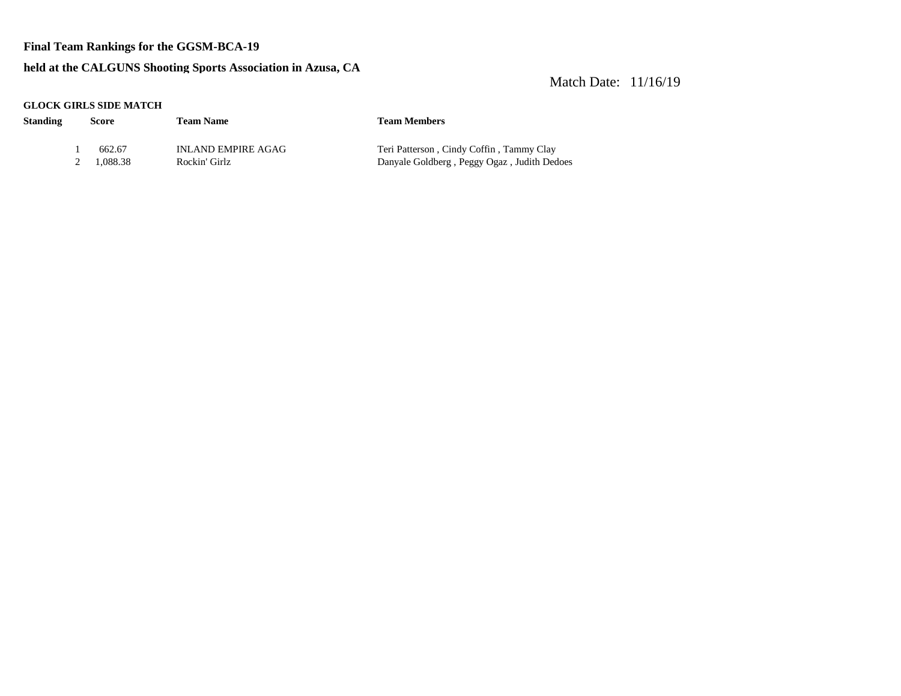### **Final Team Rankings for the GGSM-BCA-19**

### **held at the CALGUNS Shooting Sports Association in Azusa, CA**

### Match Date: 11/16/19

#### **GLOCK GIRLS SIDE MATCH**

| <b>Standing</b> | Score      | <b>Team Name</b>          | <b>Team Members</b>                         |
|-----------------|------------|---------------------------|---------------------------------------------|
|                 | 662.67     | <b>INLAND EMPIRE AGAG</b> | Teri Patterson, Cindy Coffin, Tammy Clay    |
|                 | 2 1.088.38 | Rockin' Girlz             | Danyale Goldberg, Peggy Ogaz, Judith Dedoes |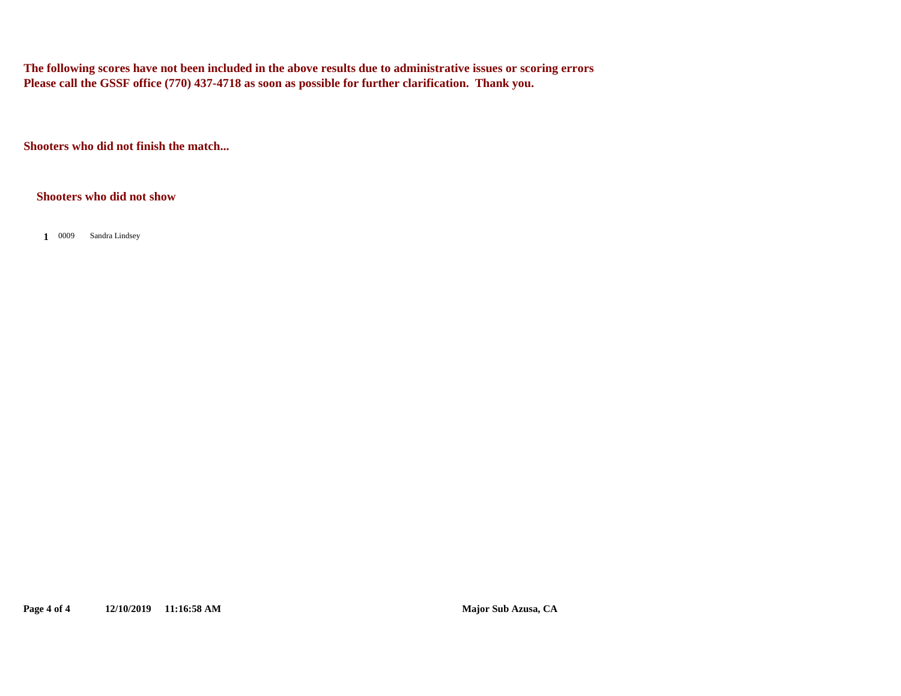**The following scores have not been included in the above results due to administrative issues or scoring errors Please call the GSSF office (770) 437-4718 as soon as possible for further clarification. Thank you.**

**Shooters who did not finish the match...**

**Shooters who did not show**

1 0009 Sandra Lindsey

**Page 4 of 4 12/10/2019 11:16:58 AM Major Sub Azusa, CA**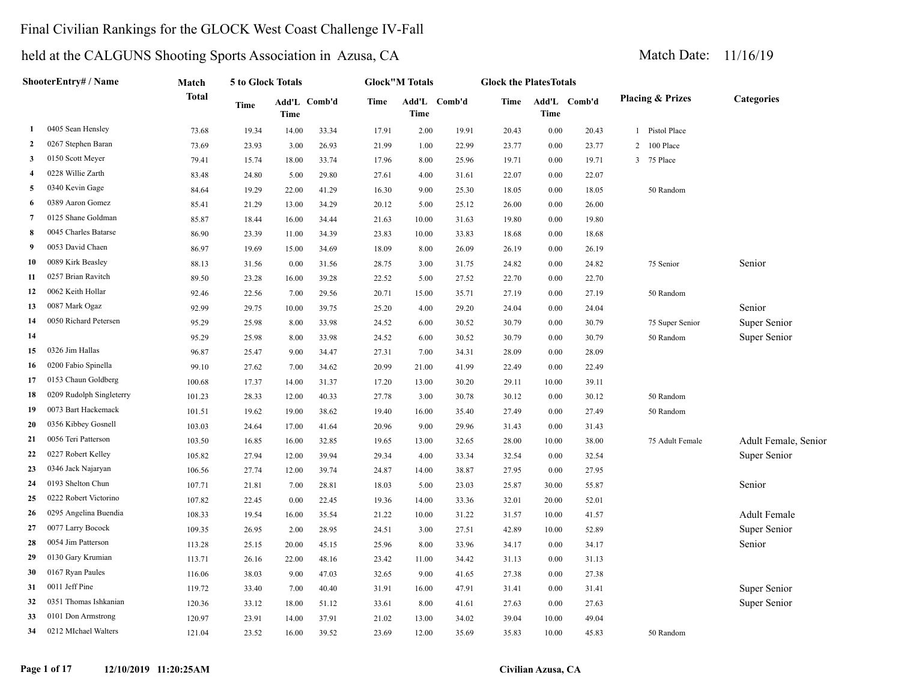# Final Civilian Rankings for the GLOCK West Coast Challenge IV-Fall

# held at the CALGUNS Shooting Sports Association in Azusa, CA Match Date: 11/16/19

#### **Page 1 of 17 12/10/2019 11:20:25AM Civilian Azusa, CA**

|    | ShooterEntry# / Name     | Match        | 5 to Glock Totals |       |              |       | <b>Glock"M Totals</b> |              | <b>Glock the PlatesTotals</b> |       |              |                             |                      |
|----|--------------------------|--------------|-------------------|-------|--------------|-------|-----------------------|--------------|-------------------------------|-------|--------------|-----------------------------|----------------------|
|    |                          | <b>Total</b> | Time              | Time  | Add'L Comb'd | Time  | <b>Time</b>           | Add'L Comb'd | Time                          | Time  | Add'L Comb'd | <b>Placing &amp; Prizes</b> | <b>Categories</b>    |
| 1  | 0405 Sean Hensley        | 73.68        | 19.34             | 14.00 | 33.34        | 17.91 | 2.00                  | 19.91        | 20.43                         | 0.00  | 20.43        | 1 Pistol Place              |                      |
| 2  | 0267 Stephen Baran       | 73.69        | 23.93             | 3.00  | 26.93        | 21.99 | 1.00                  | 22.99        | 23.77                         | 0.00  | 23.77        | $\overline{2}$<br>100 Place |                      |
| 3  | 0150 Scott Meyer         | 79.41        | 15.74             | 18.00 | 33.74        | 17.96 | 8.00                  | 25.96        | 19.71                         | 0.00  | 19.71        | $\overline{3}$<br>75 Place  |                      |
| 4  | 0228 Willie Zarth        | 83.48        | 24.80             | 5.00  | 29.80        | 27.61 | 4.00                  | 31.61        | 22.07                         | 0.00  | 22.07        |                             |                      |
| 5  | 0340 Kevin Gage          | 84.64        | 19.29             | 22.00 | 41.29        | 16.30 | 9.00                  | 25.30        | 18.05                         | 0.00  | 18.05        | 50 Random                   |                      |
| 6  | 0389 Aaron Gomez         | 85.41        | 21.29             | 13.00 | 34.29        | 20.12 | 5.00                  | 25.12        | 26.00                         | 0.00  | 26.00        |                             |                      |
| 7  | 0125 Shane Goldman       | 85.87        | 18.44             | 16.00 | 34.44        | 21.63 | 10.00                 | 31.63        | 19.80                         | 0.00  | 19.80        |                             |                      |
| 8  | 0045 Charles Batarse     | 86.90        | 23.39             | 11.00 | 34.39        | 23.83 | 10.00                 | 33.83        | 18.68                         | 0.00  | 18.68        |                             |                      |
| 9  | 0053 David Chaen         | 86.97        | 19.69             | 15.00 | 34.69        | 18.09 | 8.00                  | 26.09        | 26.19                         | 0.00  | 26.19        |                             |                      |
| 10 | 0089 Kirk Beasley        | 88.13        | 31.56             | 0.00  | 31.56        | 28.75 | 3.00                  | 31.75        | 24.82                         | 0.00  | 24.82        | 75 Senior                   | Senior               |
| 11 | 0257 Brian Ravitch       | 89.50        | 23.28             | 16.00 | 39.28        | 22.52 | 5.00                  | 27.52        | 22.70                         | 0.00  | 22.70        |                             |                      |
| 12 | 0062 Keith Hollar        | 92.46        | 22.56             | 7.00  | 29.56        | 20.71 | 15.00                 | 35.71        | 27.19                         | 0.00  | 27.19        | 50 Random                   |                      |
| 13 | 0087 Mark Ogaz           | 92.99        | 29.75             | 10.00 | 39.75        | 25.20 | 4.00                  | 29.20        | 24.04                         | 0.00  | 24.04        |                             | Senior               |
| 14 | 0050 Richard Petersen    | 95.29        | 25.98             | 8.00  | 33.98        | 24.52 | 6.00                  | 30.52        | 30.79                         | 0.00  | 30.79        | 75 Super Senior             | Super Senior         |
| 14 |                          | 95.29        | 25.98             | 8.00  | 33.98        | 24.52 | 6.00                  | 30.52        | 30.79                         | 0.00  | 30.79        | 50 Random                   | Super Senior         |
| 15 | 0326 Jim Hallas          | 96.87        | 25.47             | 9.00  | 34.47        | 27.31 | 7.00                  | 34.31        | 28.09                         | 0.00  | 28.09        |                             |                      |
| 16 | 0200 Fabio Spinella      | 99.10        | 27.62             | 7.00  | 34.62        | 20.99 | 21.00                 | 41.99        | 22.49                         | 0.00  | 22.49        |                             |                      |
| 17 | 0153 Chaun Goldberg      | 100.68       | 17.37             | 14.00 | 31.37        | 17.20 | 13.00                 | 30.20        | 29.11                         | 10.00 | 39.11        |                             |                      |
| 18 | 0209 Rudolph Singleterry | 101.23       | 28.33             | 12.00 | 40.33        | 27.78 | 3.00                  | 30.78        | 30.12                         | 0.00  | 30.12        | 50 Random                   |                      |
| 19 | 0073 Bart Hackemack      | 101.51       | 19.62             | 19.00 | 38.62        | 19.40 | 16.00                 | 35.40        | 27.49                         | 0.00  | 27.49        | 50 Random                   |                      |
| 20 | 0356 Kibbey Gosnell      | 103.03       | 24.64             | 17.00 | 41.64        | 20.96 | 9.00                  | 29.96        | 31.43                         | 0.00  | 31.43        |                             |                      |
| 21 | 0056 Teri Patterson      | 103.50       | 16.85             | 16.00 | 32.85        | 19.65 | 13.00                 | 32.65        | 28.00                         | 10.00 | 38.00        | 75 Adult Female             | Adult Female, Senior |
| 22 | 0227 Robert Kelley       | 105.82       | 27.94             | 12.00 | 39.94        | 29.34 | 4.00                  | 33.34        | 32.54                         | 0.00  | 32.54        |                             | Super Senior         |
| 23 | 0346 Jack Najaryan       | 106.56       | 27.74             | 12.00 | 39.74        | 24.87 | 14.00                 | 38.87        | 27.95                         | 0.00  | 27.95        |                             |                      |
| 24 | 0193 Shelton Chun        | 107.71       | 21.81             | 7.00  | 28.81        | 18.03 | 5.00                  | 23.03        | 25.87                         | 30.00 | 55.87        |                             | Senior               |
| 25 | 0222 Robert Victorino    | 107.82       | 22.45             | 0.00  | 22.45        | 19.36 | 14.00                 | 33.36        | 32.01                         | 20.00 | 52.01        |                             |                      |
| 26 | 0295 Angelina Buendia    | 108.33       | 19.54             | 16.00 | 35.54        | 21.22 | 10.00                 | 31.22        | 31.57                         | 10.00 | 41.57        |                             | <b>Adult Female</b>  |
| 27 | 0077 Larry Bocock        | 109.35       | 26.95             | 2.00  | 28.95        | 24.51 | 3.00                  | 27.51        | 42.89                         | 10.00 | 52.89        |                             | Super Senior         |
| 28 | 0054 Jim Patterson       | 113.28       | 25.15             | 20.00 | 45.15        | 25.96 | 8.00                  | 33.96        | 34.17                         | 0.00  | 34.17        |                             | Senior               |
| 29 | 0130 Gary Krumian        | 113.71       | 26.16             | 22.00 | 48.16        | 23.42 | 11.00                 | 34.42        | 31.13                         | 0.00  | 31.13        |                             |                      |
| 30 | 0167 Ryan Paules         | 116.06       | 38.03             | 9.00  | 47.03        | 32.65 | 9.00                  | 41.65        | 27.38                         | 0.00  | 27.38        |                             |                      |
| 31 | 0011 Jeff Pine           | 119.72       | 33.40             | 7.00  | 40.40        | 31.91 | 16.00                 | 47.91        | 31.41                         | 0.00  | 31.41        |                             | Super Senior         |
| 32 | 0351 Thomas Ishkanian    | 120.36       | 33.12             | 18.00 | 51.12        | 33.61 | 8.00                  | 41.61        | 27.63                         | 0.00  | 27.63        |                             | Super Senior         |
| 33 | 0101 Don Armstrong       | 120.97       | 23.91             | 14.00 | 37.91        | 21.02 | 13.00                 | 34.02        | 39.04                         | 10.00 | 49.04        |                             |                      |

0212 MIchael Walters 121.04 23.52 16.00 39.52 23.69 12.00 35.69 35.83 10.00 45.83 50 Random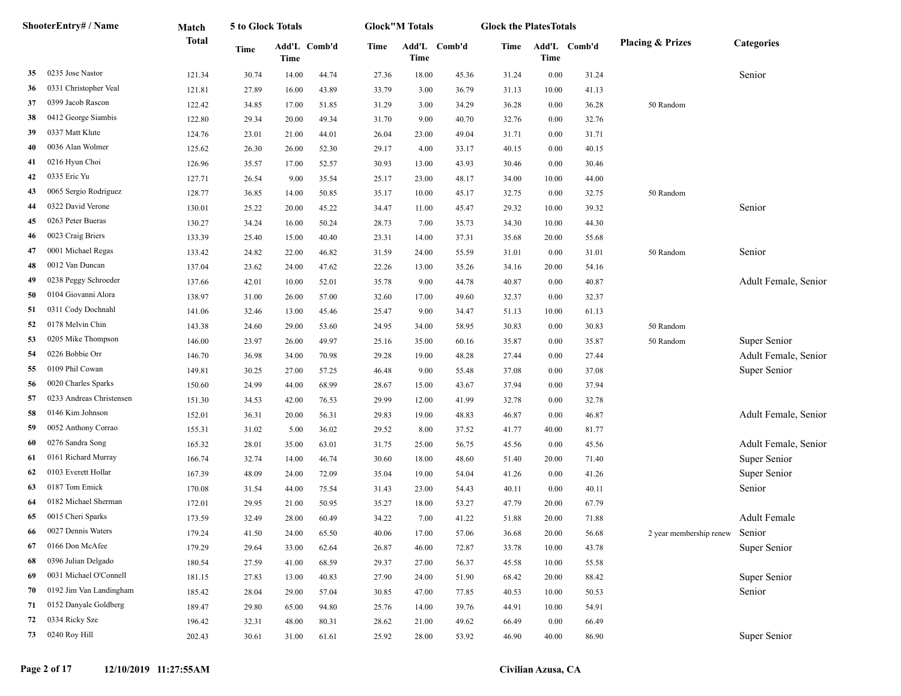|    | <b>ShooterEntry# / Name</b> | Match        | 5 to Glock Totals |       |              |       | <b>Glock</b> "M Totals |        | <b>Glock the PlatesTotals</b> |       |              |                             |                      |
|----|-----------------------------|--------------|-------------------|-------|--------------|-------|------------------------|--------|-------------------------------|-------|--------------|-----------------------------|----------------------|
|    |                             | <b>Total</b> | <b>Time</b>       | Time  | Add'L Comb'd | Time  | Add'L<br>Time          | Comb'd | Time                          | Time  | Add'L Comb'd | <b>Placing &amp; Prizes</b> | <b>Categories</b>    |
| 35 | 0235 Jose Nastor            | 121.34       | 30.74             | 14.00 | 44.74        | 27.36 | 18.00                  | 45.36  | 31.24                         | 0.00  | 31.24        |                             | Senior               |
| 36 | 0331 Christopher Veal       | 121.81       | 27.89             | 16.00 | 43.89        | 33.79 | 3.00                   | 36.79  | 31.13                         | 10.00 | 41.13        |                             |                      |
| 37 | 0399 Jacob Rascon           | 122.42       | 34.85             | 17.00 | 51.85        | 31.29 | 3.00                   | 34.29  | 36.28                         | 0.00  | 36.28        | 50 Random                   |                      |
| 38 | 0412 George Siambis         | 122.80       | 29.34             | 20.00 | 49.34        | 31.70 | 9.00                   | 40.70  | 32.76                         | 0.00  | 32.76        |                             |                      |
| 39 | 0337 Matt Klute             | 124.76       | 23.01             | 21.00 | 44.01        | 26.04 | 23.00                  | 49.04  | 31.71                         | 0.00  | 31.71        |                             |                      |
| 40 | 0036 Alan Wolmer            | 125.62       | 26.30             | 26.00 | 52.30        | 29.17 | 4.00                   | 33.17  | 40.15                         | 0.00  | 40.15        |                             |                      |
| 41 | 0216 Hyun Choi              | 126.96       | 35.57             | 17.00 | 52.57        | 30.93 | 13.00                  | 43.93  | 30.46                         | 0.00  | 30.46        |                             |                      |
| 42 | 0335 Eric Yu                | 127.71       | 26.54             | 9.00  | 35.54        | 25.17 | 23.00                  | 48.17  | 34.00                         | 10.00 | 44.00        |                             |                      |
| 43 | 0065 Sergio Rodriguez       | 128.77       | 36.85             | 14.00 | 50.85        | 35.17 | 10.00                  | 45.17  | 32.75                         | 0.00  | 32.75        | 50 Random                   |                      |
| 44 | 0322 David Verone           | 130.01       | 25.22             | 20.00 | 45.22        | 34.47 | 11.00                  | 45.47  | 29.32                         | 10.00 | 39.32        |                             | Senior               |
| 45 | 0263 Peter Bueras           | 130.27       | 34.24             | 16.00 | 50.24        | 28.73 | 7.00                   | 35.73  | 34.30                         | 10.00 | 44.30        |                             |                      |
| 46 | 0023 Craig Briers           | 133.39       | 25.40             | 15.00 | 40.40        | 23.31 | 14.00                  | 37.31  | 35.68                         | 20.00 | 55.68        |                             |                      |
| 47 | 0001 Michael Regas          | 133.42       | 24.82             | 22.00 | 46.82        | 31.59 | 24.00                  | 55.59  | 31.01                         | 0.00  | 31.01        | 50 Random                   | Senior               |
| 48 | 0012 Van Duncan             | 137.04       | 23.62             | 24.00 | 47.62        | 22.26 | 13.00                  | 35.26  | 34.16                         | 20.00 | 54.16        |                             |                      |
| 49 | 0238 Peggy Schroeder        | 137.66       | 42.01             | 10.00 | 52.01        | 35.78 | 9.00                   | 44.78  | 40.87                         | 0.00  | 40.87        |                             | Adult Female, Senior |
| 50 | 0104 Giovanni Alora         | 138.97       | 31.00             | 26.00 | 57.00        | 32.60 | 17.00                  | 49.60  | 32.37                         | 0.00  | 32.37        |                             |                      |
| 51 | 0311 Cody Dochnahl          | 141.06       | 32.46             | 13.00 | 45.46        | 25.47 | 9.00                   | 34.47  | 51.13                         | 10.00 | 61.13        |                             |                      |
| 52 | 0178 Melvin Chin            | 143.38       | 24.60             | 29.00 | 53.60        | 24.95 | 34.00                  | 58.95  | 30.83                         | 0.00  | 30.83        | 50 Random                   |                      |
| 53 | 0205 Mike Thompson          | 146.00       | 23.97             | 26.00 | 49.97        | 25.16 | 35.00                  | 60.16  | 35.87                         | 0.00  | 35.87        | 50 Random                   | Super Senior         |
| 54 | 0226 Bobbie Orr             | 146.70       | 36.98             | 34.00 | 70.98        | 29.28 | 19.00                  | 48.28  | 27.44                         | 0.00  | 27.44        |                             | Adult Female, Senior |
| 55 | 0109 Phil Cowan             | 149.81       | 30.25             | 27.00 | 57.25        | 46.48 | 9.00                   | 55.48  | 37.08                         | 0.00  | 37.08        |                             | Super Senior         |
| 56 | 0020 Charles Sparks         | 150.60       | 24.99             | 44.00 | 68.99        | 28.67 | 15.00                  | 43.67  | 37.94                         | 0.00  | 37.94        |                             |                      |
| 57 | 0233 Andreas Christensen    | 151.30       | 34.53             | 42.00 | 76.53        | 29.99 | 12.00                  | 41.99  | 32.78                         | 0.00  | 32.78        |                             |                      |
| 58 | 0146 Kim Johnson            | 152.01       | 36.31             | 20.00 | 56.31        | 29.83 | 19.00                  | 48.83  | 46.87                         | 0.00  | 46.87        |                             | Adult Female, Senior |
| 59 | 0052 Anthony Corrao         | 155.31       | 31.02             | 5.00  | 36.02        | 29.52 | 8.00                   | 37.52  | 41.77                         | 40.00 | 81.77        |                             |                      |
| 60 | 0276 Sandra Song            | 165.32       | 28.01             | 35.00 | 63.01        | 31.75 | 25.00                  | 56.75  | 45.56                         | 0.00  | 45.56        |                             | Adult Female, Senior |
| 61 | 0161 Richard Murray         | 166.74       | 32.74             | 14.00 | 46.74        | 30.60 | 18.00                  | 48.60  | 51.40                         | 20.00 | 71.40        |                             | Super Senior         |
| 62 | 0103 Everett Hollar         | 167.39       | 48.09             | 24.00 | 72.09        | 35.04 | 19.00                  | 54.04  | 41.26                         | 0.00  | 41.26        |                             | Super Senior         |
| 63 | 0187 Tom Emick              | 170.08       | 31.54             | 44.00 | 75.54        | 31.43 | 23.00                  | 54.43  | 40.11                         | 0.00  | 40.11        |                             | Senior               |
| 64 | 0182 Michael Sherman        | 172.01       | 29.95             | 21.00 | 50.95        | 35.27 | 18.00                  | 53.27  | 47.79                         | 20.00 | 67.79        |                             |                      |
| 65 | 0015 Cheri Sparks           | 173.59       | 32.49             | 28.00 | 60.49        | 34.22 | 7.00                   | 41.22  | 51.88                         | 20.00 | 71.88        |                             | <b>Adult Female</b>  |
| 66 | 0027 Dennis Waters          | 179.24       | 41.50             | 24.00 | 65.50        | 40.06 | 17.00                  | 57.06  | 36.68                         | 20.00 | 56.68        | 2 year membership renew     | Senior               |
| 67 | 0166 Don McAfee             | 179.29       | 29.64             | 33.00 | 62.64        | 26.87 | 46.00                  | 72.87  | 33.78                         | 10.00 | 43.78        |                             | Super Senior         |
| 68 | 0396 Julian Delgado         | 180.54       | 27.59             | 41.00 | 68.59        | 29.37 | 27.00                  | 56.37  | 45.58                         | 10.00 | 55.58        |                             |                      |
| 69 | 0031 Michael O'Connell      | 181.15       | 27.83             | 13.00 | 40.83        | 27.90 | 24.00                  | 51.90  | 68.42                         | 20.00 | 88.42        |                             | Super Senior         |
| 70 | 0192 Jim Van Landingham     | 185.42       | 28.04             | 29.00 | 57.04        | 30.85 | 47.00                  | 77.85  | 40.53                         | 10.00 | 50.53        |                             | Senior               |
| 71 | 0152 Danyale Goldberg       | 189.47       | 29.80             | 65.00 | 94.80        | 25.76 | 14.00                  | 39.76  | 44.91                         | 10.00 | 54.91        |                             |                      |
| 72 | 0334 Ricky Sze              | 196.42       | 32.31             | 48.00 | 80.31        | 28.62 | 21.00                  | 49.62  | 66.49                         | 0.00  | 66.49        |                             |                      |
| 73 | 0240 Roy Hill               | 202.43       | 30.61             | 31.00 | 61.61        | 25.92 | 28.00                  | 53.92  | 46.90                         | 40.00 | 86.90        |                             | Super Senior         |
|    |                             |              |                   |       |              |       |                        |        |                               |       |              |                             |                      |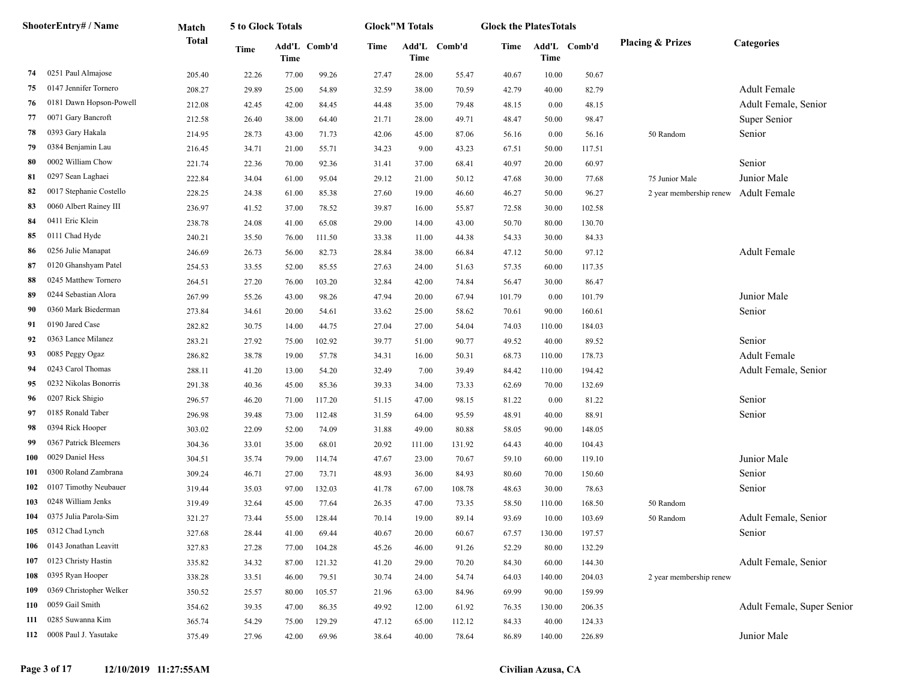|     | ShooterEntry# / Name      | Match        | 5 to Glock Totals |       |              |       | <b>Glock"M Totals</b> |              | <b>Glock the PlatesTotals</b> |        |              |                             |                            |
|-----|---------------------------|--------------|-------------------|-------|--------------|-------|-----------------------|--------------|-------------------------------|--------|--------------|-----------------------------|----------------------------|
|     |                           | <b>Total</b> | <b>Time</b>       | Time  | Add'L Comb'd | Time  | Time                  | Add'L Comb'd | Time                          | Time   | Add'L Comb'd | <b>Placing &amp; Prizes</b> | Categories                 |
| 74  | 0251 Paul Almajose        | 205.40       | 22.26             | 77.00 | 99.26        | 27.47 | 28.00                 | 55.47        | 40.67                         | 10.00  | 50.67        |                             |                            |
| 75  | 0147 Jennifer Tornero     | 208.27       | 29.89             | 25.00 | 54.89        | 32.59 | 38.00                 | 70.59        | 42.79                         | 40.00  | 82.79        |                             | <b>Adult Female</b>        |
| 76  | 0181 Dawn Hopson-Powell   | 212.08       | 42.45             | 42.00 | 84.45        | 44.48 | 35.00                 | 79.48        | 48.15                         | 0.00   | 48.15        |                             | Adult Female, Senior       |
| 77  | 0071 Gary Bancroft        | 212.58       | 26.40             | 38.00 | 64.40        | 21.71 | 28.00                 | 49.71        | 48.47                         | 50.00  | 98.47        |                             | Super Senior               |
| 78  | 0393 Gary Hakala          | 214.95       | 28.73             | 43.00 | 71.73        | 42.06 | 45.00                 | 87.06        | 56.16                         | 0.00   | 56.16        | 50 Random                   | Senior                     |
| 79  | 0384 Benjamin Lau         | 216.45       | 34.71             | 21.00 | 55.71        | 34.23 | 9.00                  | 43.23        | 67.51                         | 50.00  | 117.51       |                             |                            |
| 80  | 0002 William Chow         | 221.74       | 22.36             | 70.00 | 92.36        | 31.41 | 37.00                 | 68.41        | 40.97                         | 20.00  | 60.97        |                             | Senior                     |
| 81  | 0297 Sean Laghaei         | 222.84       | 34.04             | 61.00 | 95.04        | 29.12 | 21.00                 | 50.12        | 47.68                         | 30.00  | 77.68        | 75 Junior Male              | Junior Male                |
| 82  | 0017 Stephanie Costello   | 228.25       | 24.38             | 61.00 | 85.38        | 27.60 | 19.00                 | 46.60        | 46.27                         | 50.00  | 96.27        | 2 year membership renew     | <b>Adult Female</b>        |
| 83  | 0060 Albert Rainey III    | 236.97       | 41.52             | 37.00 | 78.52        | 39.87 | 16.00                 | 55.87        | 72.58                         | 30.00  | 102.58       |                             |                            |
| 84  | 0411 Eric Klein           | 238.78       | 24.08             | 41.00 | 65.08        | 29.00 | 14.00                 | 43.00        | 50.70                         | 80.00  | 130.70       |                             |                            |
| 85  | 0111 Chad Hyde            | 240.21       | 35.50             | 76.00 | 111.50       | 33.38 | 11.00                 | 44.38        | 54.33                         | 30.00  | 84.33        |                             |                            |
| 86  | 0256 Julie Manapat        | 246.69       | 26.73             | 56.00 | 82.73        | 28.84 | 38.00                 | 66.84        | 47.12                         | 50.00  | 97.12        |                             | <b>Adult Female</b>        |
| 87  | 0120 Ghanshyam Patel      | 254.53       | 33.55             | 52.00 | 85.55        | 27.63 | 24.00                 | 51.63        | 57.35                         | 60.00  | 117.35       |                             |                            |
| 88  | 0245 Matthew Tornero      | 264.51       | 27.20             | 76.00 | 103.20       | 32.84 | 42.00                 | 74.84        | 56.47                         | 30.00  | 86.47        |                             |                            |
| 89  | 0244 Sebastian Alora      | 267.99       | 55.26             | 43.00 | 98.26        | 47.94 | 20.00                 | 67.94        | 101.79                        | 0.00   | 101.79       |                             | Junior Male                |
| 90  | 0360 Mark Biederman       | 273.84       | 34.61             | 20.00 | 54.61        | 33.62 | 25.00                 | 58.62        | 70.61                         | 90.00  | 160.61       |                             | Senior                     |
| 91  | 0190 Jared Case           | 282.82       | 30.75             | 14.00 | 44.75        | 27.04 | 27.00                 | 54.04        | 74.03                         | 110.00 | 184.03       |                             |                            |
| 92  | 0363 Lance Milanez        | 283.21       | 27.92             | 75.00 | 102.92       | 39.77 | 51.00                 | 90.77        | 49.52                         | 40.00  | 89.52        |                             | Senior                     |
| 93  | 0085 Peggy Ogaz           | 286.82       | 38.78             | 19.00 | 57.78        | 34.31 | 16.00                 | 50.31        | 68.73                         | 110.00 | 178.73       |                             | <b>Adult Female</b>        |
| 94  | 0243 Carol Thomas         | 288.11       | 41.20             | 13.00 | 54.20        | 32.49 | 7.00                  | 39.49        | 84.42                         | 110.00 | 194.42       |                             | Adult Female, Senior       |
| 95  | 0232 Nikolas Bonorris     | 291.38       | 40.36             | 45.00 | 85.36        | 39.33 | 34.00                 | 73.33        | 62.69                         | 70.00  | 132.69       |                             |                            |
| 96  | 0207 Rick Shigio          | 296.57       | 46.20             | 71.00 | 117.20       | 51.15 | 47.00                 | 98.15        | 81.22                         | 0.00   | 81.22        |                             | Senior                     |
| 97  | 0185 Ronald Taber         | 296.98       | 39.48             | 73.00 | 112.48       | 31.59 | 64.00                 | 95.59        | 48.91                         | 40.00  | 88.91        |                             | Senior                     |
| 98  | 0394 Rick Hooper          | 303.02       | 22.09             | 52.00 | 74.09        | 31.88 | 49.00                 | 80.88        | 58.05                         | 90.00  | 148.05       |                             |                            |
| 99  | 0367 Patrick Bleemers     | 304.36       | 33.01             | 35.00 | 68.01        | 20.92 | 111.00                | 131.92       | 64.43                         | 40.00  | 104.43       |                             |                            |
| 100 | 0029 Daniel Hess          | 304.51       | 35.74             | 79.00 | 114.74       | 47.67 | 23.00                 | 70.67        | 59.10                         | 60.00  | 119.10       |                             | Junior Male                |
| 101 | 0300 Roland Zambrana      | 309.24       | 46.71             | 27.00 | 73.71        | 48.93 | 36.00                 | 84.93        | 80.60                         | 70.00  | 150.60       |                             | Senior                     |
| 102 | 0107 Timothy Neubauer     | 319.44       | 35.03             | 97.00 | 132.03       | 41.78 | 67.00                 | 108.78       | 48.63                         | 30.00  | 78.63        |                             | Senior                     |
| 103 | 0248 William Jenks        | 319.49       | 32.64             | 45.00 | 77.64        | 26.35 | 47.00                 | 73.35        | 58.50                         | 110.00 | 168.50       | 50 Random                   |                            |
| 104 | 0375 Julia Parola-Sim     | 321.27       | 73.44             | 55.00 | 128.44       | 70.14 | 19.00                 | 89.14        | 93.69                         | 10.00  | 103.69       | 50 Random                   | Adult Female, Senior       |
| 105 | 0312 Chad Lynch           | 327.68       | 28.44             | 41.00 | 69.44        | 40.67 | 20.00                 | 60.67        | 67.57                         | 130.00 | 197.57       |                             | Senior                     |
|     | 106 0143 Jonathan Leavitt | 327.83       | 27.28             | 77.00 | 104.28       | 45.26 | 46.00                 | 91.26        | 52.29                         | 80.00  | 132.29       |                             |                            |
| 107 | 0123 Christy Hastin       | 335.82       | 34.32             | 87.00 | 121.32       | 41.20 | 29.00                 | 70.20        | 84.30                         | 60.00  | 144.30       |                             | Adult Female, Senior       |
| 108 | 0395 Ryan Hooper          | 338.28       | 33.51             | 46.00 | 79.51        | 30.74 | 24.00                 | 54.74        | 64.03                         | 140.00 | 204.03       | 2 year membership renew     |                            |
| 109 | 0369 Christopher Welker   | 350.52       | 25.57             | 80.00 | 105.57       | 21.96 | 63.00                 | 84.96        | 69.99                         | 90.00  | 159.99       |                             |                            |
| 110 | 0059 Gail Smith           | 354.62       | 39.35             | 47.00 | 86.35        | 49.92 | 12.00                 | 61.92        | 76.35                         | 130.00 | 206.35       |                             | Adult Female, Super Senior |
| 111 | 0285 Suwanna Kim          | 365.74       | 54.29             | 75.00 | 129.29       | 47.12 | 65.00                 | 112.12       | 84.33                         | 40.00  | 124.33       |                             |                            |
|     | 112 0008 Paul J. Yasutake | 375.49       | 27.96             | 42.00 | 69.96        | 38.64 | 40.00                 | 78.64        | 86.89                         | 140.00 | 226.89       |                             | Junior Male                |
|     |                           |              |                   |       |              |       |                       |              |                               |        |              |                             |                            |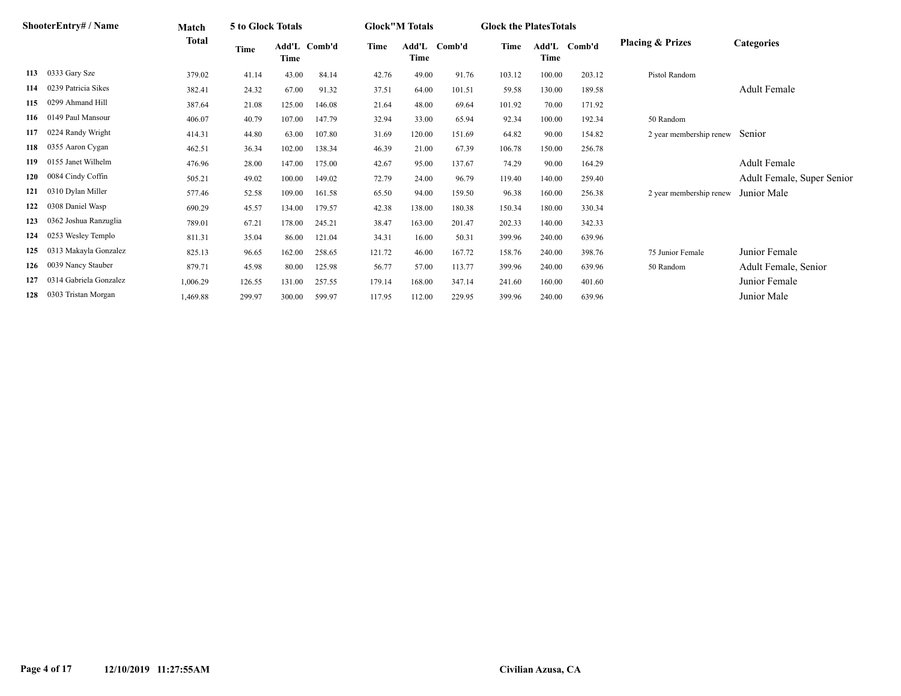|     | ShooterEntry# / Name   | Match        | 5 to Glock Totals |        |              |        | <b>Glock"M Totals</b> |          | <b>Glock the Plates Totals</b> |        |              |                             |                            |
|-----|------------------------|--------------|-------------------|--------|--------------|--------|-----------------------|----------|--------------------------------|--------|--------------|-----------------------------|----------------------------|
|     |                        | <b>Total</b> | <b>Time</b>       | Time   | Add'L Comb'd | Time   | Add'L<br>Time         | - Comb'd | Time                           | Time   | Add'L Comb'd | <b>Placing &amp; Prizes</b> | <b>Categories</b>          |
| 113 | 0333 Gary Sze          | 379.02       | 41.14             | 43.00  | 84.14        | 42.76  | 49.00                 | 91.76    | 103.12                         | 100.00 | 203.12       | Pistol Random               |                            |
| 114 | 0239 Patricia Sikes    | 382.41       | 24.32             | 67.00  | 91.32        | 37.51  | 64.00                 | 101.51   | 59.58                          | 130.00 | 189.58       |                             | <b>Adult Female</b>        |
| 115 | 0299 Ahmand Hill       | 387.64       | 21.08             | 125.00 | 146.08       | 21.64  | 48.00                 | 69.64    | 101.92                         | 70.00  | 171.92       |                             |                            |
| 116 | 0149 Paul Mansour      | 406.07       | 40.79             | 107.00 | 147.79       | 32.94  | 33.00                 | 65.94    | 92.34                          | 100.00 | 192.34       | 50 Random                   |                            |
| 117 | 0224 Randy Wright      | 414.31       | 44.80             | 63.00  | 107.80       | 31.69  | 120.00                | 151.69   | 64.82                          | 90.00  | 154.82       | 2 year membership renew     | Senior                     |
| 118 | 0355 Aaron Cygan       | 462.51       | 36.34             | 102.00 | 138.34       | 46.39  | 21.00                 | 67.39    | 106.78                         | 150.00 | 256.78       |                             |                            |
| 119 | 0155 Janet Wilhelm     | 476.96       | 28.00             | 147.00 | 175.00       | 42.67  | 95.00                 | 137.67   | 74.29                          | 90.00  | 164.29       |                             | <b>Adult Female</b>        |
| 120 | 0084 Cindy Coffin      | 505.21       | 49.02             | 100.00 | 149.02       | 72.79  | 24.00                 | 96.79    | 119.40                         | 140.00 | 259.40       |                             | Adult Female, Super Senior |
| 121 | 0310 Dylan Miller      | 577.46       | 52.58             | 109.00 | 161.58       | 65.50  | 94.00                 | 159.50   | 96.38                          | 160.00 | 256.38       | 2 year membership renew     | Junior Male                |
| 122 | 0308 Daniel Wasp       | 690.29       | 45.57             | 134.00 | 179.57       | 42.38  | 138.00                | 180.38   | 150.34                         | 180.00 | 330.34       |                             |                            |
| 123 | 0362 Joshua Ranzuglia  | 789.01       | 67.21             | 178.00 | 245.21       | 38.47  | 163.00                | 201.47   | 202.33                         | 140.00 | 342.33       |                             |                            |
| 124 | 0253 Wesley Templo     | 811.31       | 35.04             | 86.00  | 121.04       | 34.31  | 16.00                 | 50.31    | 399.96                         | 240.00 | 639.96       |                             |                            |
| 125 | 0313 Makayla Gonzalez  | 825.13       | 96.65             | 162.00 | 258.65       | 121.72 | 46.00                 | 167.72   | 158.76                         | 240.00 | 398.76       | 75 Junior Female            | Junior Female              |
| 126 | 0039 Nancy Stauber     | 879.71       | 45.98             | 80.00  | 125.98       | 56.77  | 57.00                 | 113.77   | 399.96                         | 240.00 | 639.96       | 50 Random                   | Adult Female, Senior       |
| 127 | 0314 Gabriela Gonzalez | 1,006.29     | 126.55            | 131.00 | 257.55       | 179.14 | 168.00                | 347.14   | 241.60                         | 160.00 | 401.60       |                             | Junior Female              |
| 128 | 0303 Tristan Morgan    | 1,469.88     | 299.97            | 300.00 | 599.97       | 117.95 | 112.00                | 229.95   | 399.96                         | 240.00 | 639.96       |                             | Junior Male                |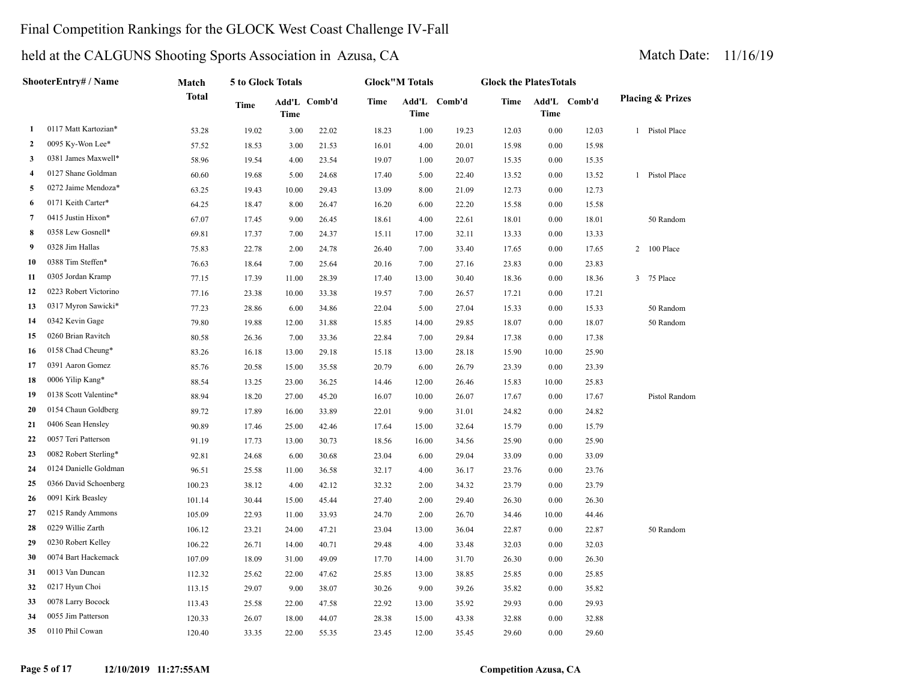# Final Competition Rankings for the GLOCK West Coast Challenge IV-Fall

|                         | ShooterEntry# / Name  | Match  | 5 to Glock Totals |             |              |       | <b>Glock"M Totals</b> |              | <b>Glock the PlatesTotals</b> |          |              |                             |
|-------------------------|-----------------------|--------|-------------------|-------------|--------------|-------|-----------------------|--------------|-------------------------------|----------|--------------|-----------------------------|
|                         |                       | Total  | Time              | <b>Time</b> | Add'L Comb'd | Time  | <b>Time</b>           | Add'L Comb'd | Time                          | Time     | Add'L Comb'd | <b>Placing &amp; Prizes</b> |
| 1                       | 0117 Matt Kartozian*  | 53.28  | 19.02             | 3.00        | 22.02        | 18.23 | 1.00                  | 19.23        | 12.03                         | 0.00     | 12.03        | 1 Pistol Place              |
| 2                       | 0095 Ky-Won Lee*      | 57.52  | 18.53             | 3.00        | 21.53        | 16.01 | 4.00                  | 20.01        | 15.98                         | 0.00     | 15.98        |                             |
| 3                       | 0381 James Maxwell*   | 58.96  | 19.54             | 4.00        | 23.54        | 19.07 | 1.00                  | 20.07        | 15.35                         | 0.00     | 15.35        |                             |
| $\overline{\mathbf{4}}$ | 0127 Shane Goldman    | 60.60  | 19.68             | 5.00        | 24.68        | 17.40 | 5.00                  | 22.40        | 13.52                         | 0.00     | 13.52        | 1 Pistol Place              |
| 5                       | 0272 Jaime Mendoza*   | 63.25  | 19.43             | 10.00       | 29.43        | 13.09 | 8.00                  | 21.09        | 12.73                         | 0.00     | 12.73        |                             |
| 6                       | 0171 Keith Carter*    | 64.25  | 18.47             | 8.00        | 26.47        | 16.20 | 6.00                  | 22.20        | 15.58                         | 0.00     | 15.58        |                             |
| 7                       | 0415 Justin Hixon*    | 67.07  | 17.45             | 9.00        | 26.45        | 18.61 | 4.00                  | 22.61        | 18.01                         | 0.00     | 18.01        | 50 Random                   |
| 8                       | 0358 Lew Gosnell*     | 69.81  | 17.37             | 7.00        | 24.37        | 15.11 | 17.00                 | 32.11        | 13.33                         | 0.00     | 13.33        |                             |
| 9                       | 0328 Jim Hallas       | 75.83  | 22.78             | 2.00        | 24.78        | 26.40 | 7.00                  | 33.40        | 17.65                         | 0.00     | 17.65        | 2 100 Place                 |
| 10                      | 0388 Tim Steffen*     | 76.63  | 18.64             | 7.00        | 25.64        | 20.16 | 7.00                  | 27.16        | 23.83                         | 0.00     | 23.83        |                             |
| 11                      | 0305 Jordan Kramp     | 77.15  | 17.39             | 11.00       | 28.39        | 17.40 | 13.00                 | 30.40        | 18.36                         | 0.00     | 18.36        | 3 75 Place                  |
| 12                      | 0223 Robert Victorino | 77.16  | 23.38             | 10.00       | 33.38        | 19.57 | 7.00                  | 26.57        | 17.21                         | 0.00     | 17.21        |                             |
| 13                      | 0317 Myron Sawicki*   | 77.23  | 28.86             | 6.00        | 34.86        | 22.04 | 5.00                  | 27.04        | 15.33                         | 0.00     | 15.33        | 50 Random                   |
| 14                      | 0342 Kevin Gage       | 79.80  | 19.88             | 12.00       | 31.88        | 15.85 | 14.00                 | 29.85        | 18.07                         | 0.00     | 18.07        | 50 Random                   |
| 15                      | 0260 Brian Ravitch    | 80.58  | 26.36             | 7.00        | 33.36        | 22.84 | 7.00                  | 29.84        | 17.38                         | 0.00     | 17.38        |                             |
| 16                      | 0158 Chad Cheung*     | 83.26  | 16.18             | 13.00       | 29.18        | 15.18 | 13.00                 | 28.18        | 15.90                         | 10.00    | 25.90        |                             |
| 17                      | 0391 Aaron Gomez      | 85.76  | 20.58             | 15.00       | 35.58        | 20.79 | 6.00                  | 26.79        | 23.39                         | 0.00     | 23.39        |                             |
| 18                      | 0006 Yilip Kang*      | 88.54  | 13.25             | 23.00       | 36.25        | 14.46 | 12.00                 | 26.46        | 15.83                         | 10.00    | 25.83        |                             |
| 19                      | 0138 Scott Valentine* | 88.94  | 18.20             | 27.00       | 45.20        | 16.07 | 10.00                 | 26.07        | 17.67                         | 0.00     | 17.67        | Pistol Random               |
| 20                      | 0154 Chaun Goldberg   | 89.72  | 17.89             | 16.00       | 33.89        | 22.01 | 9.00                  | 31.01        | 24.82                         | 0.00     | 24.82        |                             |
| 21                      | 0406 Sean Hensley     | 90.89  | 17.46             | 25.00       | 42.46        | 17.64 | 15.00                 | 32.64        | 15.79                         | 0.00     | 15.79        |                             |
| 22                      | 0057 Teri Patterson   | 91.19  | 17.73             | 13.00       | 30.73        | 18.56 | 16.00                 | 34.56        | 25.90                         | 0.00     | 25.90        |                             |
| 23                      | 0082 Robert Sterling* | 92.81  | 24.68             | 6.00        | 30.68        | 23.04 | 6.00                  | 29.04        | 33.09                         | 0.00     | 33.09        |                             |
| 24                      | 0124 Danielle Goldman | 96.51  | 25.58             | 11.00       | 36.58        | 32.17 | 4.00                  | 36.17        | 23.76                         | 0.00     | 23.76        |                             |
| 25                      | 0366 David Schoenberg | 100.23 | 38.12             | 4.00        | 42.12        | 32.32 | 2.00                  | 34.32        | 23.79                         | 0.00     | 23.79        |                             |
| 26                      | 0091 Kirk Beasley     | 101.14 | 30.44             | 15.00       | 45.44        | 27.40 | 2.00                  | 29.40        | 26.30                         | 0.00     | 26.30        |                             |
| 27                      | 0215 Randy Ammons     | 105.09 | 22.93             | 11.00       | 33.93        | 24.70 | 2.00                  | 26.70        | 34.46                         | 10.00    | 44.46        |                             |
| 28                      | 0229 Willie Zarth     | 106.12 | 23.21             | 24.00       | 47.21        | 23.04 | 13.00                 | 36.04        | 22.87                         | 0.00     | 22.87        | 50 Random                   |
| 29                      | 0230 Robert Kelley    | 106.22 | 26.71             | 14.00       | 40.71        | 29.48 | 4.00                  | 33.48        | 32.03                         | 0.00     | 32.03        |                             |
| 30                      | 0074 Bart Hackemack   | 107.09 | 18.09             | 31.00       | 49.09        | 17.70 | 14.00                 | 31.70        | 26.30                         | 0.00     | 26.30        |                             |
| 31                      | 0013 Van Duncan       | 112.32 | 25.62             | 22.00       | 47.62        | 25.85 | 13.00                 | 38.85        | 25.85                         | 0.00     | 25.85        |                             |
| 32                      | 0217 Hyun Choi        | 113.15 | 29.07             | 9.00        | 38.07        | 30.26 | 9.00                  | 39.26        | 35.82                         | 0.00     | 35.82        |                             |
| 33                      | 0078 Larry Bocock     | 113.43 | 25.58             | 22.00       | 47.58        | 22.92 | 13.00                 | 35.92        | 29.93                         | $0.00\,$ | 29.93        |                             |
| 34                      | 0055 Jim Patterson    | 120.33 | 26.07             | 18.00       | 44.07        | 28.38 | 15.00                 | 43.38        | 32.88                         | $0.00\,$ | 32.88        |                             |
| 35                      | 0110 Phil Cowan       | 120.40 | 33.35             | 22.00       | 55.35        | 23.45 | 12.00                 | 35.45        | 29.60                         | 0.00     | 29.60        |                             |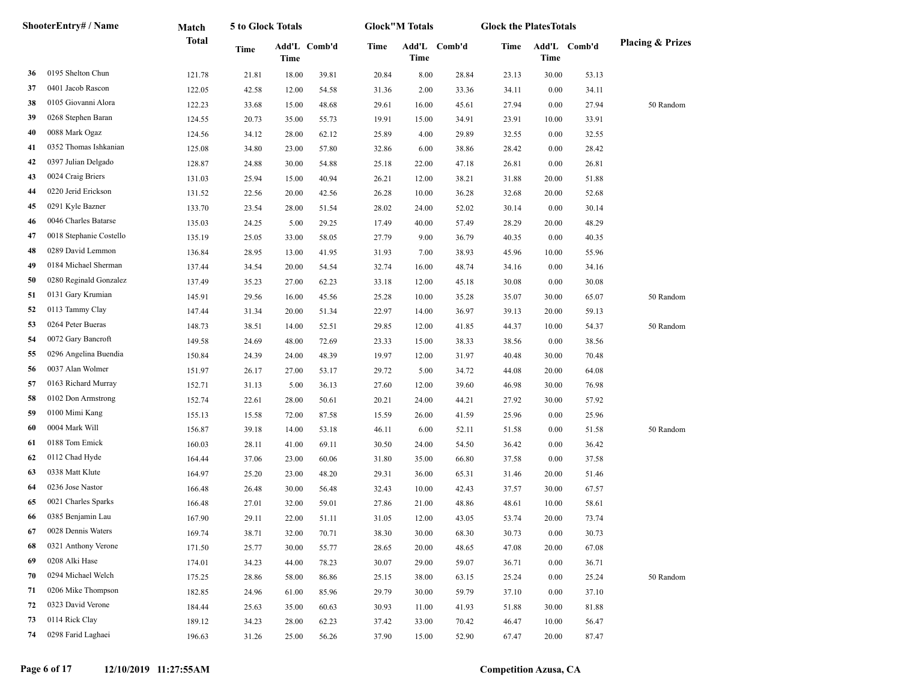|    | ShooterEntry# / Name    | Match        | 5 to Glock Totals |       |              |       | <b>Glock</b> "M Totals |              | <b>Glock the PlatesTotals</b> |             |              |                             |
|----|-------------------------|--------------|-------------------|-------|--------------|-------|------------------------|--------------|-------------------------------|-------------|--------------|-----------------------------|
|    |                         | <b>Total</b> | Time              | Time  | Add'L Comb'd | Time  | <b>Time</b>            | Add'L Comb'd | Time                          | <b>Time</b> | Add'L Comb'd | <b>Placing &amp; Prizes</b> |
| 36 | 0195 Shelton Chun       | 121.78       | 21.81             | 18.00 | 39.81        | 20.84 | $8.00\,$               | 28.84        | 23.13                         | 30.00       | 53.13        |                             |
| 37 | 0401 Jacob Rascon       | 122.05       | 42.58             | 12.00 | 54.58        | 31.36 | 2.00                   | 33.36        | 34.11                         | 0.00        | 34.11        |                             |
| 38 | 0105 Giovanni Alora     | 122.23       | 33.68             | 15.00 | 48.68        | 29.61 | 16.00                  | 45.61        | 27.94                         | 0.00        | 27.94        | 50 Random                   |
| 39 | 0268 Stephen Baran      | 124.55       | 20.73             | 35.00 | 55.73        | 19.91 | 15.00                  | 34.91        | 23.91                         | 10.00       | 33.91        |                             |
| 40 | 0088 Mark Ogaz          | 124.56       | 34.12             | 28.00 | 62.12        | 25.89 | 4.00                   | 29.89        | 32.55                         | 0.00        | 32.55        |                             |
| 41 | 0352 Thomas Ishkanian   | 125.08       | 34.80             | 23.00 | 57.80        | 32.86 | 6.00                   | 38.86        | 28.42                         | 0.00        | 28.42        |                             |
| 42 | 0397 Julian Delgado     | 128.87       | 24.88             | 30.00 | 54.88        | 25.18 | 22.00                  | 47.18        | 26.81                         | 0.00        | 26.81        |                             |
| 43 | 0024 Craig Briers       | 131.03       | 25.94             | 15.00 | 40.94        | 26.21 | 12.00                  | 38.21        | 31.88                         | 20.00       | 51.88        |                             |
| 44 | 0220 Jerid Erickson     | 131.52       | 22.56             | 20.00 | 42.56        | 26.28 | 10.00                  | 36.28        | 32.68                         | 20.00       | 52.68        |                             |
| 45 | 0291 Kyle Bazner        | 133.70       | 23.54             | 28.00 | 51.54        | 28.02 | 24.00                  | 52.02        | 30.14                         | 0.00        | 30.14        |                             |
| 46 | 0046 Charles Batarse    | 135.03       | 24.25             | 5.00  | 29.25        | 17.49 | 40.00                  | 57.49        | 28.29                         | 20.00       | 48.29        |                             |
| 47 | 0018 Stephanie Costello | 135.19       | 25.05             | 33.00 | 58.05        | 27.79 | 9.00                   | 36.79        | 40.35                         | 0.00        | 40.35        |                             |
| 48 | 0289 David Lemmon       | 136.84       | 28.95             | 13.00 | 41.95        | 31.93 | 7.00                   | 38.93        | 45.96                         | 10.00       | 55.96        |                             |
| 49 | 0184 Michael Sherman    | 137.44       | 34.54             | 20.00 | 54.54        | 32.74 | 16.00                  | 48.74        | 34.16                         | 0.00        | 34.16        |                             |
| 50 | 0280 Reginald Gonzalez  | 137.49       | 35.23             | 27.00 | 62.23        | 33.18 | 12.00                  | 45.18        | 30.08                         | 0.00        | 30.08        |                             |
| 51 | 0131 Gary Krumian       | 145.91       | 29.56             | 16.00 | 45.56        | 25.28 | 10.00                  | 35.28        | 35.07                         | 30.00       | 65.07        | 50 Random                   |
| 52 | 0113 Tammy Clay         | 147.44       | 31.34             | 20.00 | 51.34        | 22.97 | 14.00                  | 36.97        | 39.13                         | 20.00       | 59.13        |                             |
| 53 | 0264 Peter Bueras       | 148.73       | 38.51             | 14.00 | 52.51        | 29.85 | 12.00                  | 41.85        | 44.37                         | 10.00       | 54.37        | 50 Random                   |
| 54 | 0072 Gary Bancroft      | 149.58       | 24.69             | 48.00 | 72.69        | 23.33 | 15.00                  | 38.33        | 38.56                         | 0.00        | 38.56        |                             |
| 55 | 0296 Angelina Buendia   | 150.84       | 24.39             | 24.00 | 48.39        | 19.97 | 12.00                  | 31.97        | 40.48                         | 30.00       | 70.48        |                             |
| 56 | 0037 Alan Wolmer        | 151.97       | 26.17             | 27.00 | 53.17        | 29.72 | 5.00                   | 34.72        | 44.08                         | 20.00       | 64.08        |                             |
| 57 | 0163 Richard Murray     | 152.71       | 31.13             | 5.00  | 36.13        | 27.60 | 12.00                  | 39.60        | 46.98                         | 30.00       | 76.98        |                             |
| 58 | 0102 Don Armstrong      | 152.74       | 22.61             | 28.00 | 50.61        | 20.21 | 24.00                  | 44.21        | 27.92                         | 30.00       | 57.92        |                             |
| 59 | 0100 Mimi Kang          | 155.13       | 15.58             | 72.00 | 87.58        | 15.59 | 26.00                  | 41.59        | 25.96                         | 0.00        | 25.96        |                             |
| 60 | 0004 Mark Will          | 156.87       | 39.18             | 14.00 | 53.18        | 46.11 | 6.00                   | 52.11        | 51.58                         | 0.00        | 51.58        | 50 Random                   |
| 61 | 0188 Tom Emick          | 160.03       | 28.11             | 41.00 | 69.11        | 30.50 | 24.00                  | 54.50        | 36.42                         | 0.00        | 36.42        |                             |
| 62 | 0112 Chad Hyde          | 164.44       | 37.06             | 23.00 | 60.06        | 31.80 | 35.00                  | 66.80        | 37.58                         | 0.00        | 37.58        |                             |
| 63 | 0338 Matt Klute         | 164.97       | 25.20             | 23.00 | 48.20        | 29.31 | 36.00                  | 65.31        | 31.46                         | 20.00       | 51.46        |                             |
| 64 | 0236 Jose Nastor        | 166.48       | 26.48             | 30.00 | 56.48        | 32.43 | 10.00                  | 42.43        | 37.57                         | 30.00       | 67.57        |                             |
| 65 | 0021 Charles Sparks     | 166.48       | 27.01             | 32.00 | 59.01        | 27.86 | 21.00                  | 48.86        | 48.61                         | 10.00       | 58.61        |                             |
| 66 | 0385 Benjamin Lau       | 167.90       | 29.11             | 22.00 | 51.11        | 31.05 | 12.00                  | 43.05        | 53.74                         | 20.00       | 73.74        |                             |
| 67 | 0028 Dennis Waters      | 169.74       | 38.71             | 32.00 | 70.71        | 38.30 | 30.00                  | 68.30        | 30.73                         | $0.00\,$    | 30.73        |                             |
| 68 | 0321 Anthony Verone     | 171.50       | 25.77             | 30.00 | 55.77        | 28.65 | 20.00                  | 48.65        | 47.08                         | 20.00       | 67.08        |                             |
| 69 | 0208 Alki Hase          | 174.01       | 34.23             | 44.00 | 78.23        | 30.07 | 29.00                  | 59.07        | 36.71                         | 0.00        | 36.71        |                             |
| 70 | 0294 Michael Welch      | 175.25       | 28.86             | 58.00 | 86.86        | 25.15 | 38.00                  | 63.15        | 25.24                         | 0.00        | 25.24        | 50 Random                   |
| 71 | 0206 Mike Thompson      | 182.85       | 24.96             | 61.00 | 85.96        | 29.79 | 30.00                  | 59.79        | 37.10                         | 0.00        | 37.10        |                             |
| 72 | 0323 David Verone       | 184.44       | 25.63             | 35.00 | 60.63        | 30.93 | 11.00                  | 41.93        | 51.88                         | 30.00       | 81.88        |                             |
| 73 | 0114 Rick Clay          | 189.12       | 34.23             | 28.00 | 62.23        | 37.42 | 33.00                  | 70.42        | 46.47                         | 10.00       | 56.47        |                             |
| 74 | 0298 Farid Laghaei      | 196.63       | 31.26             | 25.00 | 56.26        | 37.90 | 15.00                  | 52.90        | 67.47                         | 20.00       | 87.47        |                             |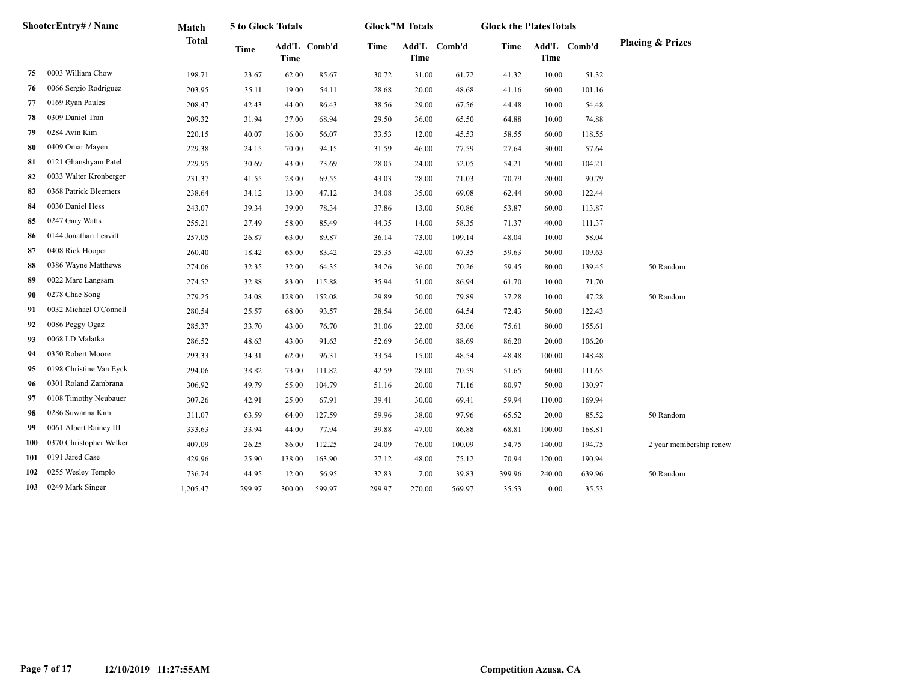|            | ShooterEntry# / Name    | Match        | 5 to Glock Totals |             |              |             | <b>Glock</b> "M Totals |              | <b>Glock the PlatesTotals</b> |             |              |                             |
|------------|-------------------------|--------------|-------------------|-------------|--------------|-------------|------------------------|--------------|-------------------------------|-------------|--------------|-----------------------------|
|            |                         | <b>Total</b> | Time              | <b>Time</b> | Add'L Comb'd | <b>Time</b> | <b>Time</b>            | Add'L Comb'd | Time                          | <b>Time</b> | Add'L Comb'd | <b>Placing &amp; Prizes</b> |
| 75         | 0003 William Chow       | 198.71       | 23.67             | 62.00       | 85.67        | 30.72       | 31.00                  | 61.72        | 41.32                         | 10.00       | 51.32        |                             |
| 76         | 0066 Sergio Rodriguez   | 203.95       | 35.11             | 19.00       | 54.11        | 28.68       | 20.00                  | 48.68        | 41.16                         | 60.00       | 101.16       |                             |
| 77         | 0169 Ryan Paules        | 208.47       | 42.43             | 44.00       | 86.43        | 38.56       | 29.00                  | 67.56        | 44.48                         | 10.00       | 54.48        |                             |
| 78         | 0309 Daniel Tran        | 209.32       | 31.94             | 37.00       | 68.94        | 29.50       | 36.00                  | 65.50        | 64.88                         | 10.00       | 74.88        |                             |
| 79         | 0284 Avin Kim           | 220.15       | 40.07             | 16.00       | 56.07        | 33.53       | 12.00                  | 45.53        | 58.55                         | 60.00       | 118.55       |                             |
| 80         | 0409 Omar Mayen         | 229.38       | 24.15             | 70.00       | 94.15        | 31.59       | 46.00                  | 77.59        | 27.64                         | 30.00       | 57.64        |                             |
| 81         | 0121 Ghanshyam Patel    | 229.95       | 30.69             | 43.00       | 73.69        | 28.05       | 24.00                  | 52.05        | 54.21                         | 50.00       | 104.21       |                             |
| 82         | 0033 Walter Kronberger  | 231.37       | 41.55             | 28.00       | 69.55        | 43.03       | 28.00                  | 71.03        | 70.79                         | 20.00       | 90.79        |                             |
| 83         | 0368 Patrick Bleemers   | 238.64       | 34.12             | 13.00       | 47.12        | 34.08       | 35.00                  | 69.08        | 62.44                         | 60.00       | 122.44       |                             |
| 84         | 0030 Daniel Hess        | 243.07       | 39.34             | 39.00       | 78.34        | 37.86       | 13.00                  | 50.86        | 53.87                         | 60.00       | 113.87       |                             |
| 85         | 0247 Gary Watts         | 255.21       | 27.49             | 58.00       | 85.49        | 44.35       | 14.00                  | 58.35        | 71.37                         | 40.00       | 111.37       |                             |
| 86         | 0144 Jonathan Leavitt   | 257.05       | 26.87             | 63.00       | 89.87        | 36.14       | 73.00                  | 109.14       | 48.04                         | 10.00       | 58.04        |                             |
| 87         | 0408 Rick Hooper        | 260.40       | 18.42             | 65.00       | 83.42        | 25.35       | 42.00                  | 67.35        | 59.63                         | 50.00       | 109.63       |                             |
| 88         | 0386 Wayne Matthews     | 274.06       | 32.35             | 32.00       | 64.35        | 34.26       | 36.00                  | 70.26        | 59.45                         | 80.00       | 139.45       | 50 Random                   |
| 89         | 0022 Marc Langsam       | 274.52       | 32.88             | 83.00       | 115.88       | 35.94       | 51.00                  | 86.94        | 61.70                         | 10.00       | 71.70        |                             |
| 90         | 0278 Chae Song          | 279.25       | 24.08             | 128.00      | 152.08       | 29.89       | 50.00                  | 79.89        | 37.28                         | 10.00       | 47.28        | 50 Random                   |
| 91         | 0032 Michael O'Connell  | 280.54       | 25.57             | 68.00       | 93.57        | 28.54       | 36.00                  | 64.54        | 72.43                         | 50.00       | 122.43       |                             |
| 92         | 0086 Peggy Ogaz         | 285.37       | 33.70             | 43.00       | 76.70        | 31.06       | 22.00                  | 53.06        | 75.61                         | 80.00       | 155.61       |                             |
| 93         | 0068 LD Malatka         | 286.52       | 48.63             | 43.00       | 91.63        | 52.69       | 36.00                  | 88.69        | 86.20                         | 20.00       | 106.20       |                             |
| 94         | 0350 Robert Moore       | 293.33       | 34.31             | 62.00       | 96.31        | 33.54       | 15.00                  | 48.54        | 48.48                         | 100.00      | 148.48       |                             |
| 95         | 0198 Christine Van Eyck | 294.06       | 38.82             | 73.00       | 111.82       | 42.59       | 28.00                  | 70.59        | 51.65                         | 60.00       | 111.65       |                             |
| 96         | 0301 Roland Zambrana    | 306.92       | 49.79             | 55.00       | 104.79       | 51.16       | 20.00                  | 71.16        | 80.97                         | 50.00       | 130.97       |                             |
| 97         | 0108 Timothy Neubauer   | 307.26       | 42.91             | 25.00       | 67.91        | 39.41       | 30.00                  | 69.41        | 59.94                         | 110.00      | 169.94       |                             |
| 98         | 0286 Suwanna Kim        | 311.07       | 63.59             | 64.00       | 127.59       | 59.96       | 38.00                  | 97.96        | 65.52                         | 20.00       | 85.52        | 50 Random                   |
| 99         | 0061 Albert Rainey III  | 333.63       | 33.94             | 44.00       | 77.94        | 39.88       | 47.00                  | 86.88        | 68.81                         | 100.00      | 168.81       |                             |
| <b>100</b> | 0370 Christopher Welker | 407.09       | 26.25             | 86.00       | 112.25       | 24.09       | 76.00                  | 100.09       | 54.75                         | 140.00      | 194.75       | 2 year membership renew     |
| 101        | 0191 Jared Case         | 429.96       | 25.90             | 138.00      | 163.90       | 27.12       | 48.00                  | 75.12        | 70.94                         | 120.00      | 190.94       |                             |
| 102        | 0255 Wesley Templo      | 736.74       | 44.95             | 12.00       | 56.95        | 32.83       | 7.00                   | 39.83        | 399.96                        | 240.00      | 639.96       | 50 Random                   |
| 103        | 0249 Mark Singer        | 1,205.47     | 299.97            | 300.00      | 599.97       | 299.97      | 270.00                 | 569.97       | 35.53                         | 0.00        | 35.53        |                             |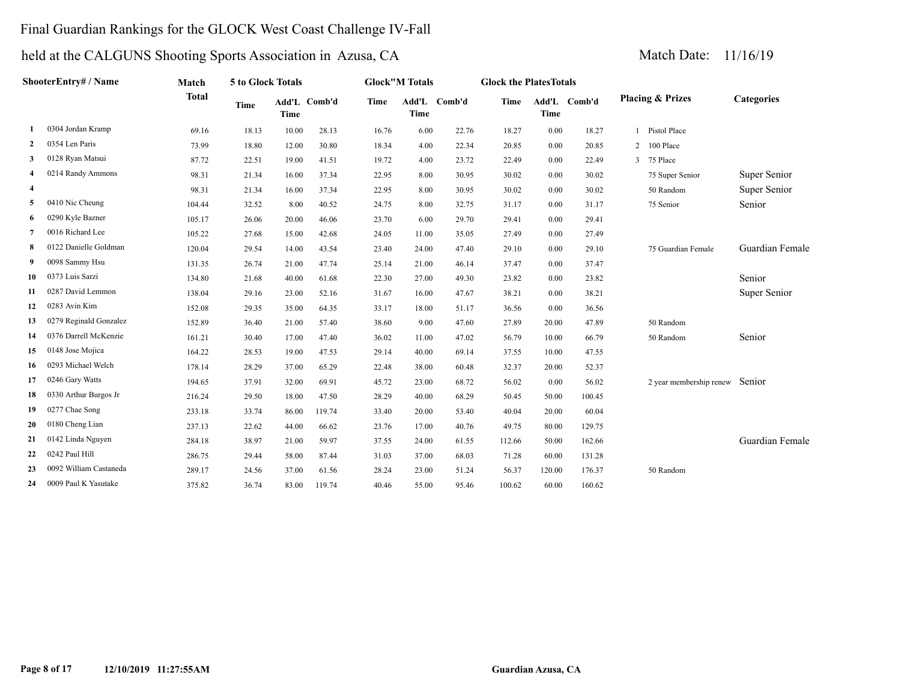# Final Guardian Rankings for the GLOCK West Coast Challenge IV-Fall

|                | ShooterEntry# / Name   | Match        | 5 to Glock Totals |       |              |             | <b>Glock"M Totals</b> |        | <b>Glock the PlatesTotals</b> |             |              |                                |                 |
|----------------|------------------------|--------------|-------------------|-------|--------------|-------------|-----------------------|--------|-------------------------------|-------------|--------------|--------------------------------|-----------------|
|                |                        | <b>Total</b> | Time              | Time  | Add'L Comb'd | <b>Time</b> | Add'L<br><b>Time</b>  | Comb'd | <b>Time</b>                   | <b>Time</b> | Add'L Comb'd | <b>Placing &amp; Prizes</b>    | Categories      |
|                | 0304 Jordan Kramp      | 69.16        | 18.13             | 10.00 | 28.13        | 16.76       | 6.00                  | 22.76  | 18.27                         | 0.00        | 18.27        | 1 Pistol Place                 |                 |
| $\overline{2}$ | 0354 Len Paris         | 73.99        | 18.80             | 12.00 | 30.80        | 18.34       | 4.00                  | 22.34  | 20.85                         | 0.00        | 20.85        | 2 100 Place                    |                 |
| 3              | 0128 Ryan Matsui       | 87.72        | 22.51             | 19.00 | 41.51        | 19.72       | 4.00                  | 23.72  | 22.49                         | 0.00        | 22.49        | 3 75 Place                     |                 |
| $\overline{4}$ | 0214 Randy Ammons      | 98.31        | 21.34             | 16.00 | 37.34        | 22.95       | 8.00                  | 30.95  | 30.02                         | 0.00        | 30.02        | 75 Super Senior                | Super Senior    |
| $\overline{4}$ |                        | 98.31        | 21.34             | 16.00 | 37.34        | 22.95       | 8.00                  | 30.95  | 30.02                         | 0.00        | 30.02        | 50 Random                      | Super Senior    |
| 5              | 0410 Nic Cheung        | 104.44       | 32.52             | 8.00  | 40.52        | 24.75       | 8.00                  | 32.75  | 31.17                         | 0.00        | 31.17        | 75 Senior                      | Senior          |
| 6              | 0290 Kyle Bazner       | 105.17       | 26.06             | 20.00 | 46.06        | 23.70       | 6.00                  | 29.70  | 29.41                         | 0.00        | 29.41        |                                |                 |
| 7              | 0016 Richard Lee       | 105.22       | 27.68             | 15.00 | 42.68        | 24.05       | 11.00                 | 35.05  | 27.49                         | 0.00        | 27.49        |                                |                 |
| -8             | 0122 Danielle Goldman  | 120.04       | 29.54             | 14.00 | 43.54        | 23.40       | 24.00                 | 47.40  | 29.10                         | 0.00        | 29.10        | 75 Guardian Female             | Guardian Female |
| 9              | 0098 Sammy Hsu         | 131.35       | 26.74             | 21.00 | 47.74        | 25.14       | 21.00                 | 46.14  | 37.47                         | 0.00        | 37.47        |                                |                 |
| 10             | 0373 Luis Sarzi        | 134.80       | 21.68             | 40.00 | 61.68        | 22.30       | 27.00                 | 49.30  | 23.82                         | 0.00        | 23.82        |                                | Senior          |
| 11             | 0287 David Lemmon      | 138.04       | 29.16             | 23.00 | 52.16        | 31.67       | 16.00                 | 47.67  | 38.21                         | 0.00        | 38.21        |                                | Super Senior    |
| 12             | 0283 Avin Kim          | 152.08       | 29.35             | 35.00 | 64.35        | 33.17       | 18.00                 | 51.17  | 36.56                         | 0.00        | 36.56        |                                |                 |
| 13             | 0279 Reginald Gonzalez | 152.89       | 36.40             | 21.00 | 57.40        | 38.60       | 9.00                  | 47.60  | 27.89                         | 20.00       | 47.89        | 50 Random                      |                 |
| 14             | 0376 Darrell McKenzie  | 161.21       | 30.40             | 17.00 | 47.40        | 36.02       | 11.00                 | 47.02  | 56.79                         | 10.00       | 66.79        | 50 Random                      | Senior          |
| 15             | 0148 Jose Mojica       | 164.22       | 28.53             | 19.00 | 47.53        | 29.14       | 40.00                 | 69.14  | 37.55                         | 10.00       | 47.55        |                                |                 |
| 16             | 0293 Michael Welch     | 178.14       | 28.29             | 37.00 | 65.29        | 22.48       | 38.00                 | 60.48  | 32.37                         | 20.00       | 52.37        |                                |                 |
| 17             | 0246 Gary Watts        | 194.65       | 37.91             | 32.00 | 69.91        | 45.72       | 23.00                 | 68.72  | 56.02                         | 0.00        | 56.02        | 2 year membership renew Senior |                 |
| 18             | 0330 Arthur Burgos Jr  | 216.24       | 29.50             | 18.00 | 47.50        | 28.29       | 40.00                 | 68.29  | 50.45                         | 50.00       | 100.45       |                                |                 |
| 19             | 0277 Chae Song         | 233.18       | 33.74             | 86.00 | 119.74       | 33.40       | 20.00                 | 53.40  | 40.04                         | 20.00       | 60.04        |                                |                 |
| 20             | 0180 Cheng Lian        | 237.13       | 22.62             | 44.00 | 66.62        | 23.76       | 17.00                 | 40.76  | 49.75                         | 80.00       | 129.75       |                                |                 |
| 21             | 0142 Linda Nguyen      | 284.18       | 38.97             | 21.00 | 59.97        | 37.55       | 24.00                 | 61.55  | 112.66                        | 50.00       | 162.66       |                                | Guardian Female |
| 22             | 0242 Paul Hill         | 286.75       | 29.44             | 58.00 | 87.44        | 31.03       | 37.00                 | 68.03  | 71.28                         | 60.00       | 131.28       |                                |                 |
| 23             | 0092 William Castaneda | 289.17       | 24.56             | 37.00 | 61.56        | 28.24       | 23.00                 | 51.24  | 56.37                         | 120.00      | 176.37       | 50 Random                      |                 |
| 24             | 0009 Paul K Yasutake   | 375.82       | 36.74             | 83.00 | 119.74       | 40.46       | 55.00                 | 95.46  | 100.62                        | 60.00       | 160.62       |                                |                 |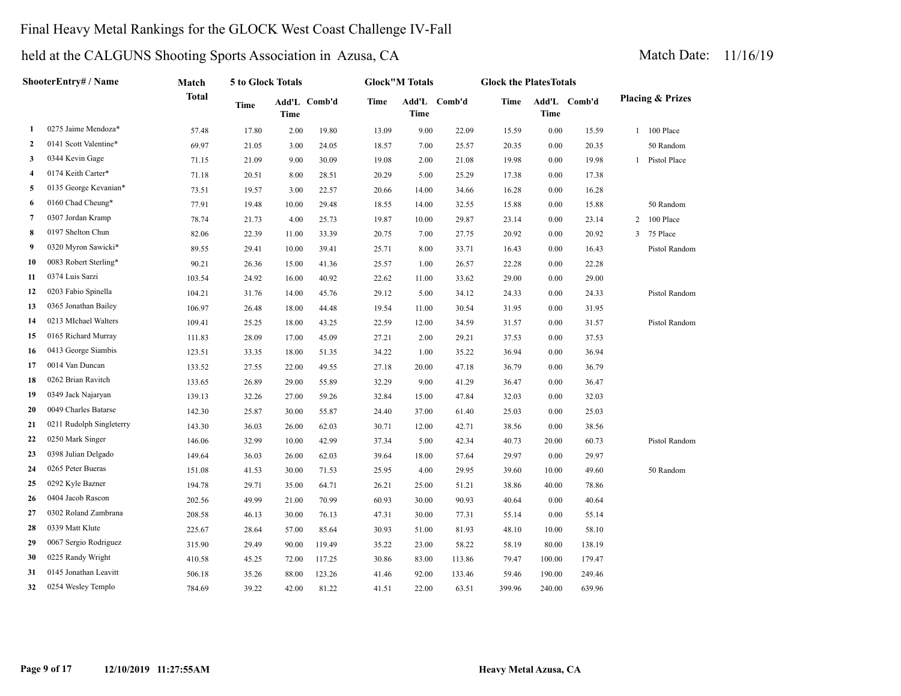# Final Heavy Metal Rankings for the GLOCK West Coast Challenge IV-Fall

|              | <b>ShooterEntry# / Name</b> | Match        | 5 to Glock Totals |       |              |             | <b>Glock</b> "M Totals |              | <b>Glock the PlatesTotals</b> |             |              |   |                             |
|--------------|-----------------------------|--------------|-------------------|-------|--------------|-------------|------------------------|--------------|-------------------------------|-------------|--------------|---|-----------------------------|
|              |                             | <b>Total</b> | Time              | Time  | Add'L Comb'd | <b>Time</b> | Time                   | Add'L Comb'd | Time                          | <b>Time</b> | Add'L Comb'd |   | <b>Placing &amp; Prizes</b> |
| 1            | 0275 Jaime Mendoza*         | 57.48        | 17.80             | 2.00  | 19.80        | 13.09       | 9.00                   | 22.09        | 15.59                         | 0.00        | 15.59        |   | 1 100 Place                 |
| $\mathbf{2}$ | 0141 Scott Valentine*       | 69.97        | 21.05             | 3.00  | 24.05        | 18.57       | 7.00                   | 25.57        | 20.35                         | 0.00        | 20.35        |   | 50 Random                   |
| 3            | 0344 Kevin Gage             | 71.15        | 21.09             | 9.00  | 30.09        | 19.08       | 2.00                   | 21.08        | 19.98                         | 0.00        | 19.98        |   | Pistol Place                |
| 4            | 0174 Keith Carter*          | 71.18        | 20.51             | 8.00  | 28.51        | 20.29       | 5.00                   | 25.29        | 17.38                         | 0.00        | 17.38        |   |                             |
| 5            | 0135 George Kevanian*       | 73.51        | 19.57             | 3.00  | 22.57        | 20.66       | 14.00                  | 34.66        | 16.28                         | 0.00        | 16.28        |   |                             |
| 6            | 0160 Chad Cheung*           | 77.91        | 19.48             | 10.00 | 29.48        | 18.55       | 14.00                  | 32.55        | 15.88                         | 0.00        | 15.88        |   | 50 Random                   |
| 7            | 0307 Jordan Kramp           | 78.74        | 21.73             | 4.00  | 25.73        | 19.87       | 10.00                  | 29.87        | 23.14                         | 0.00        | 23.14        | 2 | 100 Place                   |
| 8            | 0197 Shelton Chun           | 82.06        | 22.39             | 11.00 | 33.39        | 20.75       | 7.00                   | 27.75        | 20.92                         | 0.00        | 20.92        | 3 | 75 Place                    |
| 9            | 0320 Myron Sawicki*         | 89.55        | 29.41             | 10.00 | 39.41        | 25.71       | 8.00                   | 33.71        | 16.43                         | 0.00        | 16.43        |   | Pistol Random               |
| 10           | 0083 Robert Sterling*       | 90.21        | 26.36             | 15.00 | 41.36        | 25.57       | 1.00                   | 26.57        | 22.28                         | 0.00        | 22.28        |   |                             |
| 11           | 0374 Luis Sarzi             | 103.54       | 24.92             | 16.00 | 40.92        | 22.62       | 11.00                  | 33.62        | 29.00                         | 0.00        | 29.00        |   |                             |
| 12           | 0203 Fabio Spinella         | 104.21       | 31.76             | 14.00 | 45.76        | 29.12       | 5.00                   | 34.12        | 24.33                         | 0.00        | 24.33        |   | Pistol Random               |
| 13           | 0365 Jonathan Bailey        | 106.97       | 26.48             | 18.00 | 44.48        | 19.54       | 11.00                  | 30.54        | 31.95                         | 0.00        | 31.95        |   |                             |
| 14           | 0213 MIchael Walters        | 109.41       | 25.25             | 18.00 | 43.25        | 22.59       | 12.00                  | 34.59        | 31.57                         | 0.00        | 31.57        |   | Pistol Random               |
| 15           | 0165 Richard Murray         | 111.83       | 28.09             | 17.00 | 45.09        | 27.21       | 2.00                   | 29.21        | 37.53                         | 0.00        | 37.53        |   |                             |
| 16           | 0413 George Siambis         | 123.51       | 33.35             | 18.00 | 51.35        | 34.22       | 1.00                   | 35.22        | 36.94                         | 0.00        | 36.94        |   |                             |
| 17           | 0014 Van Duncan             | 133.52       | 27.55             | 22.00 | 49.55        | 27.18       | 20.00                  | 47.18        | 36.79                         | 0.00        | 36.79        |   |                             |
| 18           | 0262 Brian Ravitch          | 133.65       | 26.89             | 29.00 | 55.89        | 32.29       | 9.00                   | 41.29        | 36.47                         | 0.00        | 36.47        |   |                             |
| 19           | 0349 Jack Najaryan          | 139.13       | 32.26             | 27.00 | 59.26        | 32.84       | 15.00                  | 47.84        | 32.03                         | 0.00        | 32.03        |   |                             |
| 20           | 0049 Charles Batarse        | 142.30       | 25.87             | 30.00 | 55.87        | 24.40       | 37.00                  | 61.40        | 25.03                         | 0.00        | 25.03        |   |                             |
| 21           | 0211 Rudolph Singleterry    | 143.30       | 36.03             | 26.00 | 62.03        | 30.71       | 12.00                  | 42.71        | 38.56                         | 0.00        | 38.56        |   |                             |
| 22           | 0250 Mark Singer            | 146.06       | 32.99             | 10.00 | 42.99        | 37.34       | 5.00                   | 42.34        | 40.73                         | 20.00       | 60.73        |   | Pistol Random               |
| 23           | 0398 Julian Delgado         | 149.64       | 36.03             | 26.00 | 62.03        | 39.64       | 18.00                  | 57.64        | 29.97                         | 0.00        | 29.97        |   |                             |
| 24           | 0265 Peter Bueras           | 151.08       | 41.53             | 30.00 | 71.53        | 25.95       | 4.00                   | 29.95        | 39.60                         | 10.00       | 49.60        |   | 50 Random                   |
| 25           | 0292 Kyle Bazner            | 194.78       | 29.71             | 35.00 | 64.71        | 26.21       | 25.00                  | 51.21        | 38.86                         | 40.00       | 78.86        |   |                             |
| 26           | 0404 Jacob Rascon           | 202.56       | 49.99             | 21.00 | 70.99        | 60.93       | 30.00                  | 90.93        | 40.64                         | 0.00        | 40.64        |   |                             |
| 27           | 0302 Roland Zambrana        | 208.58       | 46.13             | 30.00 | 76.13        | 47.31       | 30.00                  | 77.31        | 55.14                         | 0.00        | 55.14        |   |                             |
| 28           | 0339 Matt Klute             | 225.67       | 28.64             | 57.00 | 85.64        | 30.93       | 51.00                  | 81.93        | 48.10                         | 10.00       | 58.10        |   |                             |
| 29           | 0067 Sergio Rodriguez       | 315.90       | 29.49             | 90.00 | 119.49       | 35.22       | 23.00                  | 58.22        | 58.19                         | 80.00       | 138.19       |   |                             |
| 30           | 0225 Randy Wright           | 410.58       | 45.25             | 72.00 | 117.25       | 30.86       | 83.00                  | 113.86       | 79.47                         | 100.00      | 179.47       |   |                             |
| 31           | 0145 Jonathan Leavitt       | 506.18       | 35.26             | 88.00 | 123.26       | 41.46       | 92.00                  | 133.46       | 59.46                         | 190.00      | 249.46       |   |                             |
| 32           | 0254 Wesley Templo          | 784.69       | 39.22             | 42.00 | 81.22        | 41.51       | 22.00                  | 63.51        | 399.96                        | 240.00      | 639.96       |   |                             |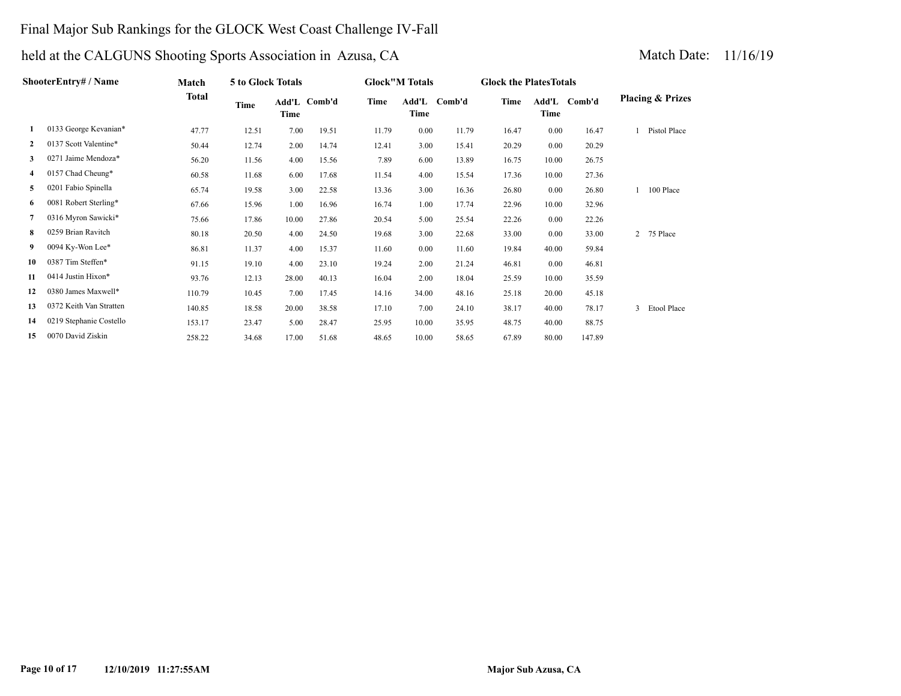# Final Major Sub Rankings for the GLOCK West Coast Challenge IV-Fall

| ShooterEntry# / Name |                         | Match        | 5 to Glock Totals |       |              |       | <b>Glock"M Totals</b> |              |       | <b>Glock the PlatesTotals</b> |              |                             |  |
|----------------------|-------------------------|--------------|-------------------|-------|--------------|-------|-----------------------|--------------|-------|-------------------------------|--------------|-----------------------------|--|
|                      |                         | <b>Total</b> | Time              | Time  | Add'L Comb'd | Time  | Time                  | Add'L Comb'd | Time  | Time                          | Add'L Comb'd | <b>Placing &amp; Prizes</b> |  |
| 1                    | 0133 George Kevanian*   | 47.77        | 12.51             | 7.00  | 19.51        | 11.79 | 0.00                  | 11.79        | 16.47 | 0.00                          | 16.47        | Pistol Place                |  |
| $\mathbf{2}$         | 0137 Scott Valentine*   | 50.44        | 12.74             | 2.00  | 14.74        | 12.41 | 3.00                  | 15.41        | 20.29 | 0.00                          | 20.29        |                             |  |
| 3                    | 0271 Jaime Mendoza*     | 56.20        | 11.56             | 4.00  | 15.56        | 7.89  | 6.00                  | 13.89        | 16.75 | 10.00                         | 26.75        |                             |  |
| 4                    | 0157 Chad Cheung*       | 60.58        | 11.68             | 6.00  | 17.68        | 11.54 | 4.00                  | 15.54        | 17.36 | 10.00                         | 27.36        |                             |  |
| 5                    | 0201 Fabio Spinella     | 65.74        | 19.58             | 3.00  | 22.58        | 13.36 | 3.00                  | 16.36        | 26.80 | 0.00                          | 26.80        | 100 Place                   |  |
| 6                    | 0081 Robert Sterling*   | 67.66        | 15.96             | 1.00  | 16.96        | 16.74 | 1.00                  | 17.74        | 22.96 | 10.00                         | 32.96        |                             |  |
| 7                    | 0316 Myron Sawicki*     | 75.66        | 17.86             | 10.00 | 27.86        | 20.54 | 5.00                  | 25.54        | 22.26 | 0.00                          | 22.26        |                             |  |
| 8                    | 0259 Brian Ravitch      | 80.18        | 20.50             | 4.00  | 24.50        | 19.68 | 3.00                  | 22.68        | 33.00 | 0.00                          | 33.00        | 2 75 Place                  |  |
| 9.                   | 0094 Ky-Won Lee*        | 86.81        | 11.37             | 4.00  | 15.37        | 11.60 | 0.00                  | 11.60        | 19.84 | 40.00                         | 59.84        |                             |  |
| 10                   | 0387 Tim Steffen*       | 91.15        | 19.10             | 4.00  | 23.10        | 19.24 | 2.00                  | 21.24        | 46.81 | 0.00                          | 46.81        |                             |  |
| 11                   | 0414 Justin Hixon*      | 93.76        | 12.13             | 28.00 | 40.13        | 16.04 | 2.00                  | 18.04        | 25.59 | 10.00                         | 35.59        |                             |  |
| 12                   | 0380 James Maxwell*     | 110.79       | 10.45             | 7.00  | 17.45        | 14.16 | 34.00                 | 48.16        | 25.18 | 20.00                         | 45.18        |                             |  |
| 13                   | 0372 Keith Van Stratten | 140.85       | 18.58             | 20.00 | 38.58        | 17.10 | 7.00                  | 24.10        | 38.17 | 40.00                         | 78.17        | Etool Place                 |  |
| 14                   | 0219 Stephanie Costello | 153.17       | 23.47             | 5.00  | 28.47        | 25.95 | 10.00                 | 35.95        | 48.75 | 40.00                         | 88.75        |                             |  |
| 15                   | 0070 David Ziskin       | 258.22       | 34.68             | 17.00 | 51.68        | 48.65 | 10.00                 | 58.65        | 67.89 | 80.00                         | 147.89       |                             |  |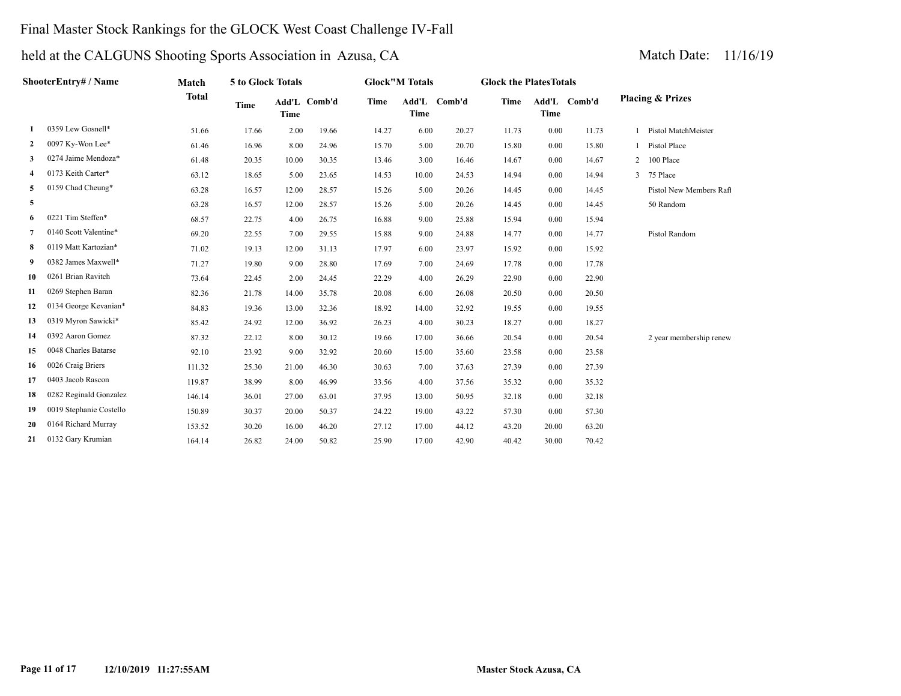# Final Master Stock Rankings for the GLOCK West Coast Challenge IV-Fall

| ShooterEntry# / Name |                         | Match        | 5 to Glock Totals |             |              | <b>Glock</b> "M Totals |             |              | <b>Glock the PlatesTotals</b> |             |              |                             |
|----------------------|-------------------------|--------------|-------------------|-------------|--------------|------------------------|-------------|--------------|-------------------------------|-------------|--------------|-----------------------------|
|                      |                         | <b>Total</b> | <b>Time</b>       | <b>Time</b> | Add'L Comb'd | Time                   | <b>Time</b> | Add'L Comb'd | Time                          | <b>Time</b> | Add'L Comb'd | <b>Placing &amp; Prizes</b> |
|                      | 0359 Lew Gosnell*       | 51.66        | 17.66             | 2.00        | 19.66        | 14.27                  | 6.00        | 20.27        | 11.73                         | 0.00        | 11.73        | Pistol MatchMeister         |
| 2                    | 0097 Ky-Won Lee*        | 61.46        | 16.96             | 8.00        | 24.96        | 15.70                  | 5.00        | 20.70        | 15.80                         | 0.00        | 15.80        | Pistol Place                |
| 3                    | 0274 Jaime Mendoza*     | 61.48        | 20.35             | 10.00       | 30.35        | 13.46                  | 3.00        | 16.46        | 14.67                         | 0.00        | 14.67        | 2 100 Place                 |
| 4                    | 0173 Keith Carter*      | 63.12        | 18.65             | 5.00        | 23.65        | 14.53                  | 10.00       | 24.53        | 14.94                         | 0.00        | 14.94        | 3 75 Place                  |
| 5                    | 0159 Chad Cheung*       | 63.28        | 16.57             | 12.00       | 28.57        | 15.26                  | 5.00        | 20.26        | 14.45                         | 0.00        | 14.45        | Pistol New Members Raft     |
| 5                    |                         | 63.28        | 16.57             | 12.00       | 28.57        | 15.26                  | 5.00        | 20.26        | 14.45                         | 0.00        | 14.45        | 50 Random                   |
| 6                    | 0221 Tim Steffen*       | 68.57        | 22.75             | 4.00        | 26.75        | 16.88                  | 9.00        | 25.88        | 15.94                         | 0.00        | 15.94        |                             |
| 7                    | 0140 Scott Valentine*   | 69.20        | 22.55             | 7.00        | 29.55        | 15.88                  | 9.00        | 24.88        | 14.77                         | 0.00        | 14.77        | Pistol Random               |
| 8                    | 0119 Matt Kartozian*    | 71.02        | 19.13             | 12.00       | 31.13        | 17.97                  | 6.00        | 23.97        | 15.92                         | 0.00        | 15.92        |                             |
| 9                    | 0382 James Maxwell*     | 71.27        | 19.80             | 9.00        | 28.80        | 17.69                  | 7.00        | 24.69        | 17.78                         | 0.00        | 17.78        |                             |
| 10                   | 0261 Brian Ravitch      | 73.64        | 22.45             | 2.00        | 24.45        | 22.29                  | 4.00        | 26.29        | 22.90                         | 0.00        | 22.90        |                             |
| 11                   | 0269 Stephen Baran      | 82.36        | 21.78             | 14.00       | 35.78        | 20.08                  | 6.00        | 26.08        | 20.50                         | 0.00        | 20.50        |                             |
| 12                   | 0134 George Kevanian*   | 84.83        | 19.36             | 13.00       | 32.36        | 18.92                  | 14.00       | 32.92        | 19.55                         | 0.00        | 19.55        |                             |
| 13                   | 0319 Myron Sawicki*     | 85.42        | 24.92             | 12.00       | 36.92        | 26.23                  | 4.00        | 30.23        | 18.27                         | 0.00        | 18.27        |                             |
| 14                   | 0392 Aaron Gomez        | 87.32        | 22.12             | 8.00        | 30.12        | 19.66                  | 17.00       | 36.66        | 20.54                         | 0.00        | 20.54        | 2 year membership renew     |
| 15                   | 0048 Charles Batarse    | 92.10        | 23.92             | 9.00        | 32.92        | 20.60                  | 15.00       | 35.60        | 23.58                         | 0.00        | 23.58        |                             |
| 16                   | 0026 Craig Briers       | 111.32       | 25.30             | 21.00       | 46.30        | 30.63                  | 7.00        | 37.63        | 27.39                         | 0.00        | 27.39        |                             |
| 17                   | 0403 Jacob Rascon       | 119.87       | 38.99             | 8.00        | 46.99        | 33.56                  | 4.00        | 37.56        | 35.32                         | 0.00        | 35.32        |                             |
| 18                   | 0282 Reginald Gonzalez  | 146.14       | 36.01             | 27.00       | 63.01        | 37.95                  | 13.00       | 50.95        | 32.18                         | 0.00        | 32.18        |                             |
| 19                   | 0019 Stephanie Costello | 150.89       | 30.37             | 20.00       | 50.37        | 24.22                  | 19.00       | 43.22        | 57.30                         | 0.00        | 57.30        |                             |
| 20                   | 0164 Richard Murray     | 153.52       | 30.20             | 16.00       | 46.20        | 27.12                  | 17.00       | 44.12        | 43.20                         | 20.00       | 63.20        |                             |
| 21                   | 0132 Gary Krumian       | 164.14       | 26.82             | 24.00       | 50.82        | 25.90                  | 17.00       | 42.90        | 40.42                         | 30.00       | 70.42        |                             |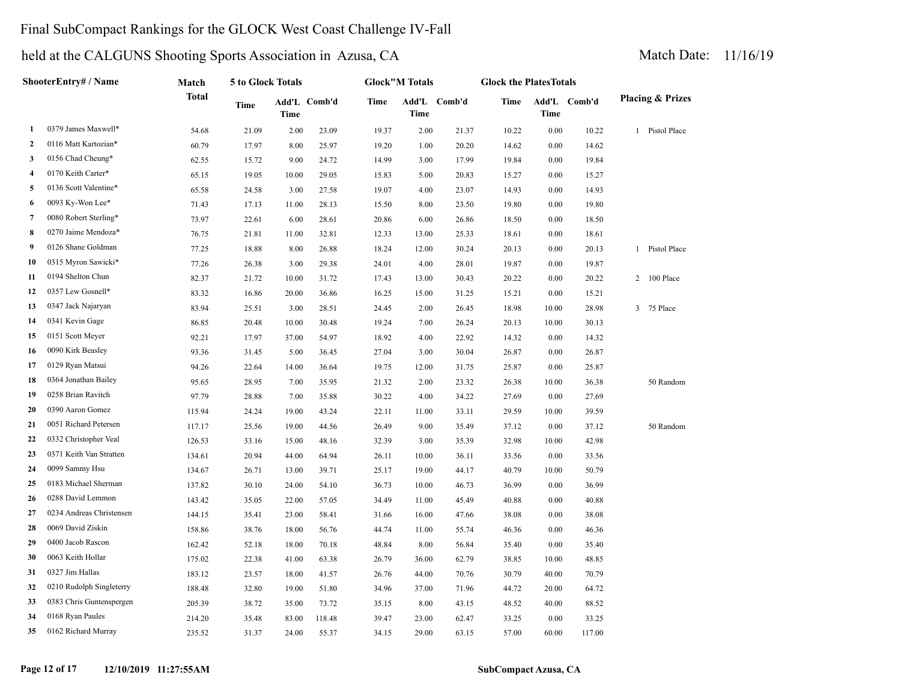# Final SubCompact Rankings for the GLOCK West Coast Challenge IV-Fall

| ShooterEntry# / Name |                          | Match  | 5 to Glock Totals |       |              | <b>Glock</b> "M Totals |             |              | <b>Glock the PlatesTotals</b> |             |              |                             |
|----------------------|--------------------------|--------|-------------------|-------|--------------|------------------------|-------------|--------------|-------------------------------|-------------|--------------|-----------------------------|
|                      |                          | Total  | Time              | Time  | Add'L Comb'd | <b>Time</b>            | <b>Time</b> | Add'L Comb'd | Time                          | <b>Time</b> | Add'L Comb'd | <b>Placing &amp; Prizes</b> |
| 1                    | 0379 James Maxwell*      | 54.68  | 21.09             | 2.00  | 23.09        | 19.37                  | 2.00        | 21.37        | 10.22                         | 0.00        | 10.22        | 1 Pistol Place              |
| $\mathbf{2}$         | 0116 Matt Kartozian*     | 60.79  | 17.97             | 8.00  | 25.97        | 19.20                  | 1.00        | 20.20        | 14.62                         | 0.00        | 14.62        |                             |
| 3                    | 0156 Chad Cheung*        | 62.55  | 15.72             | 9.00  | 24.72        | 14.99                  | 3.00        | 17.99        | 19.84                         | 0.00        | 19.84        |                             |
| $\overline{4}$       | 0170 Keith Carter*       | 65.15  | 19.05             | 10.00 | 29.05        | 15.83                  | 5.00        | 20.83        | 15.27                         | 0.00        | 15.27        |                             |
| 5                    | 0136 Scott Valentine*    | 65.58  | 24.58             | 3.00  | 27.58        | 19.07                  | 4.00        | 23.07        | 14.93                         | 0.00        | 14.93        |                             |
| 6                    | 0093 Ky-Won Lee*         | 71.43  | 17.13             | 11.00 | 28.13        | 15.50                  | 8.00        | 23.50        | 19.80                         | 0.00        | 19.80        |                             |
| $\overline{7}$       | 0080 Robert Sterling*    | 73.97  | 22.61             | 6.00  | 28.61        | 20.86                  | 6.00        | 26.86        | 18.50                         | 0.00        | 18.50        |                             |
| 8                    | 0270 Jaime Mendoza*      | 76.75  | 21.81             | 11.00 | 32.81        | 12.33                  | 13.00       | 25.33        | 18.61                         | 0.00        | 18.61        |                             |
| 9                    | 0126 Shane Goldman       | 77.25  | 18.88             | 8.00  | 26.88        | 18.24                  | 12.00       | 30.24        | 20.13                         | 0.00        | 20.13        | 1 Pistol Place              |
| 10                   | 0315 Myron Sawicki*      | 77.26  | 26.38             | 3.00  | 29.38        | 24.01                  | 4.00        | 28.01        | 19.87                         | 0.00        | 19.87        |                             |
| 11                   | 0194 Shelton Chun        | 82.37  | 21.72             | 10.00 | 31.72        | 17.43                  | 13.00       | 30.43        | 20.22                         | 0.00        | 20.22        | 2 100 Place                 |
| 12                   | 0357 Lew Gosnell*        | 83.32  | 16.86             | 20.00 | 36.86        | 16.25                  | 15.00       | 31.25        | 15.21                         | 0.00        | 15.21        |                             |
| 13                   | 0347 Jack Najaryan       | 83.94  | 25.51             | 3.00  | 28.51        | 24.45                  | 2.00        | 26.45        | 18.98                         | 10.00       | 28.98        | 3 75 Place                  |
| 14                   | 0341 Kevin Gage          | 86.85  | 20.48             | 10.00 | 30.48        | 19.24                  | 7.00        | 26.24        | 20.13                         | 10.00       | 30.13        |                             |
| 15                   | 0151 Scott Meyer         | 92.21  | 17.97             | 37.00 | 54.97        | 18.92                  | 4.00        | 22.92        | 14.32                         | 0.00        | 14.32        |                             |
| 16                   | 0090 Kirk Beasley        | 93.36  | 31.45             | 5.00  | 36.45        | 27.04                  | 3.00        | 30.04        | 26.87                         | 0.00        | 26.87        |                             |
| 17                   | 0129 Ryan Matsui         | 94.26  | 22.64             | 14.00 | 36.64        | 19.75                  | 12.00       | 31.75        | 25.87                         | 0.00        | 25.87        |                             |
| 18                   | 0364 Jonathan Bailey     | 95.65  | 28.95             | 7.00  | 35.95        | 21.32                  | 2.00        | 23.32        | 26.38                         | 10.00       | 36.38        | 50 Random                   |
| 19                   | 0258 Brian Ravitch       | 97.79  | 28.88             | 7.00  | 35.88        | 30.22                  | 4.00        | 34.22        | 27.69                         | 0.00        | 27.69        |                             |
| 20                   | 0390 Aaron Gomez         | 115.94 | 24.24             | 19.00 | 43.24        | 22.11                  | 11.00       | 33.11        | 29.59                         | 10.00       | 39.59        |                             |
| 21                   | 0051 Richard Petersen    | 117.17 | 25.56             | 19.00 | 44.56        | 26.49                  | 9.00        | 35.49        | 37.12                         | 0.00        | 37.12        | 50 Random                   |
| 22                   | 0332 Christopher Veal    | 126.53 | 33.16             | 15.00 | 48.16        | 32.39                  | 3.00        | 35.39        | 32.98                         | 10.00       | 42.98        |                             |
| 23                   | 0371 Keith Van Stratten  | 134.61 | 20.94             | 44.00 | 64.94        | 26.11                  | 10.00       | 36.11        | 33.56                         | 0.00        | 33.56        |                             |
| 24                   | 0099 Sammy Hsu           | 134.67 | 26.71             | 13.00 | 39.71        | 25.17                  | 19.00       | 44.17        | 40.79                         | 10.00       | 50.79        |                             |
| 25                   | 0183 Michael Sherman     | 137.82 | 30.10             | 24.00 | 54.10        | 36.73                  | 10.00       | 46.73        | 36.99                         | 0.00        | 36.99        |                             |
| 26                   | 0288 David Lemmon        | 143.42 | 35.05             | 22.00 | 57.05        | 34.49                  | 11.00       | 45.49        | 40.88                         | 0.00        | 40.88        |                             |
| 27                   | 0234 Andreas Christensen | 144.15 | 35.41             | 23.00 | 58.41        | 31.66                  | 16.00       | 47.66        | 38.08                         | 0.00        | 38.08        |                             |
| 28                   | 0069 David Ziskin        | 158.86 | 38.76             | 18.00 | 56.76        | 44.74                  | 11.00       | 55.74        | 46.36                         | 0.00        | 46.36        |                             |
| 29                   | 0400 Jacob Rascon        | 162.42 | 52.18             | 18.00 | 70.18        | 48.84                  | 8.00        | 56.84        | 35.40                         | 0.00        | 35.40        |                             |
| 30                   | 0063 Keith Hollar        | 175.02 | 22.38             | 41.00 | 63.38        | 26.79                  | 36.00       | 62.79        | 38.85                         | 10.00       | 48.85        |                             |
| 31                   | 0327 Jim Hallas          | 183.12 | 23.57             | 18.00 | 41.57        | 26.76                  | 44.00       | 70.76        | 30.79                         | 40.00       | 70.79        |                             |
| 32                   | 0210 Rudolph Singleterry | 188.48 | 32.80             | 19.00 | 51.80        | 34.96                  | 37.00       | 71.96        | 44.72                         | 20.00       | 64.72        |                             |
| 33                   | 0383 Chris Guntenspergen | 205.39 | 38.72             | 35.00 | 73.72        | 35.15                  | 8.00        | 43.15        | 48.52                         | 40.00       | 88.52        |                             |
| 34                   | 0168 Ryan Paules         | 214.20 | 35.48             | 83.00 | 118.48       | 39.47                  | 23.00       | 62.47        | 33.25                         | 0.00        | 33.25        |                             |
| 35                   | 0162 Richard Murray      | 235.52 | 31.37             | 24.00 | 55.37        | 34.15                  | 29.00       | 63.15        | 57.00                         | 60.00       | 117.00       |                             |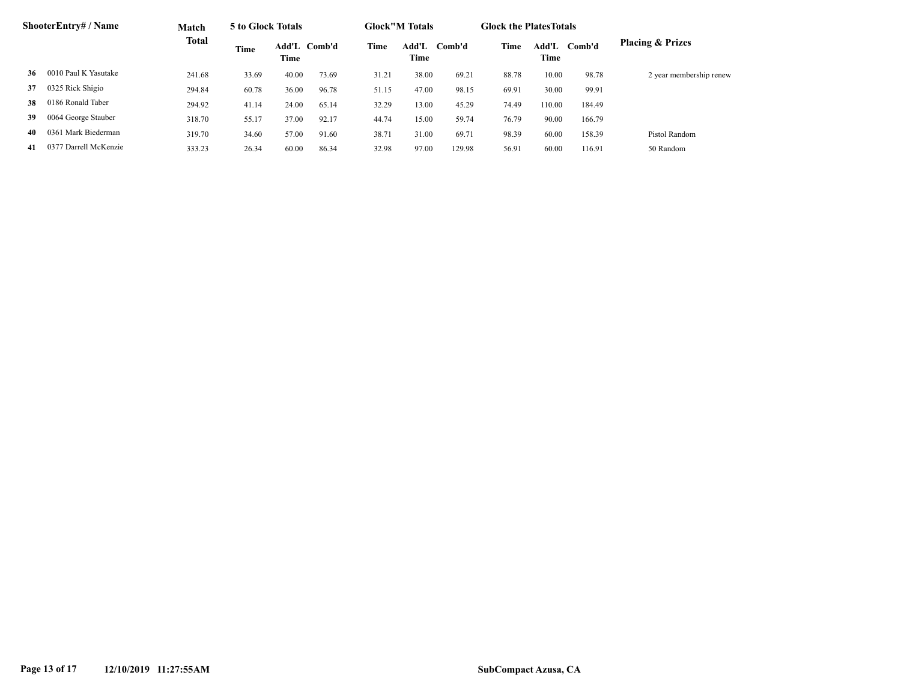| <b>ShooterEntry# / Name</b> |                       | Match<br>Total | 5 to Glock Totals |                      |       | <b>Glock</b> "M Totals |               |        | <b>Glock the Plates Totals</b> |               |        |                             |
|-----------------------------|-----------------------|----------------|-------------------|----------------------|-------|------------------------|---------------|--------|--------------------------------|---------------|--------|-----------------------------|
|                             |                       |                | Time              | Add'L Comb'd<br>Time |       | Time                   | Add'L<br>Time | Comb'd | Time                           | Add'L<br>Time | Comb'd | <b>Placing &amp; Prizes</b> |
| 36                          | 0010 Paul K Yasutake  | 241.68         | 33.69             | 40.00                | 73.69 | 31.21                  | 38.00         | 69.21  | 88.78                          | 10.00         | 98.78  | 2 year membership renew     |
| 37                          | 0325 Rick Shigio      | 294.84         | 60.78             | 36.00                | 96.78 | 51.15                  | 47.00         | 98.15  | 69.91                          | 30.00         | 99.91  |                             |
| 38                          | 0186 Ronald Taber     | 294.92         | 41.14             | 24.00                | 65.14 | 32.29                  | 13.00         | 45.29  | 74.49                          | 110.00        | 184.49 |                             |
| 39                          | 0064 George Stauber   | 318.70         | 55.17             | 37.00                | 92.17 | 44.74                  | 15.00         | 59.74  | 76.79                          | 90.00         | 166.79 |                             |
| 40                          | 0361 Mark Biederman   | 319.70         | 34.60             | 57.00                | 91.60 | 38.71                  | 31.00         | 69.71  | 98.39                          | 60.00         | 158.39 | Pistol Random               |
| -41                         | 0377 Darrell McKenzie | 333.23         | 26.34             | 60.00                | 86.34 | 32.98                  | 97.00         | 129.98 | 56.91                          | 60.00         | 116.91 | 50 Random                   |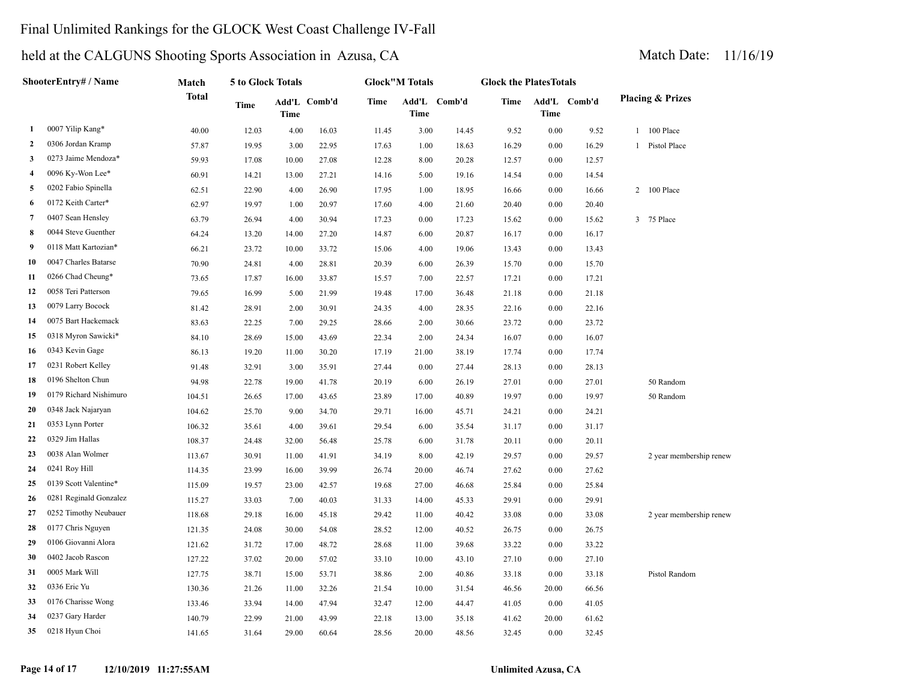# Final Unlimited Rankings for the GLOCK West Coast Challenge IV-Fall

| ShooterEntry# / Name |                        | Match  | 5 to Glock Totals |       |              |       | <b>Glock</b> "M Totals |              |       | <b>Glock the PlatesTotals</b> |              |                             |  |  |
|----------------------|------------------------|--------|-------------------|-------|--------------|-------|------------------------|--------------|-------|-------------------------------|--------------|-----------------------------|--|--|
|                      |                        | Total  | Time              | Time  | Add'L Comb'd | Time  | <b>Time</b>            | Add'L Comb'd | Time  | Time                          | Add'L Comb'd | <b>Placing &amp; Prizes</b> |  |  |
| 1                    | 0007 Yilip Kang*       | 40.00  | 12.03             | 4.00  | 16.03        | 11.45 | 3.00                   | 14.45        | 9.52  | $0.00\,$                      | 9.52         | 1 100 Place                 |  |  |
| 2                    | 0306 Jordan Kramp      | 57.87  | 19.95             | 3.00  | 22.95        | 17.63 | 1.00                   | 18.63        | 16.29 | 0.00                          | 16.29        | 1 Pistol Place              |  |  |
| 3                    | 0273 Jaime Mendoza*    | 59.93  | 17.08             | 10.00 | 27.08        | 12.28 | 8.00                   | 20.28        | 12.57 | 0.00                          | 12.57        |                             |  |  |
| 4                    | 0096 Ky-Won Lee*       | 60.91  | 14.21             | 13.00 | 27.21        | 14.16 | 5.00                   | 19.16        | 14.54 | 0.00                          | 14.54        |                             |  |  |
| 5                    | 0202 Fabio Spinella    | 62.51  | 22.90             | 4.00  | 26.90        | 17.95 | 1.00                   | 18.95        | 16.66 | 0.00                          | 16.66        | 2 100 Place                 |  |  |
| 6                    | 0172 Keith Carter*     | 62.97  | 19.97             | 1.00  | 20.97        | 17.60 | 4.00                   | 21.60        | 20.40 | 0.00                          | 20.40        |                             |  |  |
| 7                    | 0407 Sean Hensley      | 63.79  | 26.94             | 4.00  | 30.94        | 17.23 | 0.00                   | 17.23        | 15.62 | 0.00                          | 15.62        | 3 75 Place                  |  |  |
| 8                    | 0044 Steve Guenther    | 64.24  | 13.20             | 14.00 | 27.20        | 14.87 | 6.00                   | 20.87        | 16.17 | 0.00                          | 16.17        |                             |  |  |
| 9                    | 0118 Matt Kartozian*   | 66.21  | 23.72             | 10.00 | 33.72        | 15.06 | 4.00                   | 19.06        | 13.43 | 0.00                          | 13.43        |                             |  |  |
| 10                   | 0047 Charles Batarse   | 70.90  | 24.81             | 4.00  | 28.81        | 20.39 | 6.00                   | 26.39        | 15.70 | 0.00                          | 15.70        |                             |  |  |
| 11                   | 0266 Chad Cheung*      | 73.65  | 17.87             | 16.00 | 33.87        | 15.57 | 7.00                   | 22.57        | 17.21 | 0.00                          | 17.21        |                             |  |  |
| 12                   | 0058 Teri Patterson    | 79.65  | 16.99             | 5.00  | 21.99        | 19.48 | 17.00                  | 36.48        | 21.18 | 0.00                          | 21.18        |                             |  |  |
| 13                   | 0079 Larry Bocock      | 81.42  | 28.91             | 2.00  | 30.91        | 24.35 | 4.00                   | 28.35        | 22.16 | $0.00\,$                      | 22.16        |                             |  |  |
| 14                   | 0075 Bart Hackemack    | 83.63  | 22.25             | 7.00  | 29.25        | 28.66 | 2.00                   | 30.66        | 23.72 | 0.00                          | 23.72        |                             |  |  |
| 15                   | 0318 Myron Sawicki*    | 84.10  | 28.69             | 15.00 | 43.69        | 22.34 | 2.00                   | 24.34        | 16.07 | 0.00                          | 16.07        |                             |  |  |
| 16                   | 0343 Kevin Gage        | 86.13  | 19.20             | 11.00 | 30.20        | 17.19 | 21.00                  | 38.19        | 17.74 | 0.00                          | 17.74        |                             |  |  |
| 17                   | 0231 Robert Kelley     | 91.48  | 32.91             | 3.00  | 35.91        | 27.44 | 0.00                   | 27.44        | 28.13 | 0.00                          | 28.13        |                             |  |  |
| 18                   | 0196 Shelton Chun      | 94.98  | 22.78             | 19.00 | 41.78        | 20.19 | 6.00                   | 26.19        | 27.01 | 0.00                          | 27.01        | 50 Random                   |  |  |
| 19                   | 0179 Richard Nishimuro | 104.51 | 26.65             | 17.00 | 43.65        | 23.89 | 17.00                  | 40.89        | 19.97 | 0.00                          | 19.97        | 50 Random                   |  |  |
| 20                   | 0348 Jack Najaryan     | 104.62 | 25.70             | 9.00  | 34.70        | 29.71 | 16.00                  | 45.71        | 24.21 | 0.00                          | 24.21        |                             |  |  |
| 21                   | 0353 Lynn Porter       | 106.32 | 35.61             | 4.00  | 39.61        | 29.54 | 6.00                   | 35.54        | 31.17 | 0.00                          | 31.17        |                             |  |  |
| 22                   | 0329 Jim Hallas        | 108.37 | 24.48             | 32.00 | 56.48        | 25.78 | 6.00                   | 31.78        | 20.11 | 0.00                          | 20.11        |                             |  |  |
| 23                   | 0038 Alan Wolmer       | 113.67 | 30.91             | 11.00 | 41.91        | 34.19 | 8.00                   | 42.19        | 29.57 | 0.00                          | 29.57        | 2 year membership renew     |  |  |
| 24                   | 0241 Roy Hill          | 114.35 | 23.99             | 16.00 | 39.99        | 26.74 | 20.00                  | 46.74        | 27.62 | 0.00                          | 27.62        |                             |  |  |
| 25                   | 0139 Scott Valentine*  | 115.09 | 19.57             | 23.00 | 42.57        | 19.68 | 27.00                  | 46.68        | 25.84 | 0.00                          | 25.84        |                             |  |  |
| 26                   | 0281 Reginald Gonzalez | 115.27 | 33.03             | 7.00  | 40.03        | 31.33 | 14.00                  | 45.33        | 29.91 | 0.00                          | 29.91        |                             |  |  |
| 27                   | 0252 Timothy Neubauer  | 118.68 | 29.18             | 16.00 | 45.18        | 29.42 | 11.00                  | 40.42        | 33.08 | 0.00                          | 33.08        | 2 year membership renew     |  |  |
| 28                   | 0177 Chris Nguyen      | 121.35 | 24.08             | 30.00 | 54.08        | 28.52 | 12.00                  | 40.52        | 26.75 | 0.00                          | 26.75        |                             |  |  |
| 29                   | 0106 Giovanni Alora    | 121.62 | 31.72             | 17.00 | 48.72        | 28.68 | 11.00                  | 39.68        | 33.22 | 0.00                          | 33.22        |                             |  |  |
| 30                   | 0402 Jacob Rascon      | 127.22 | 37.02             | 20.00 | 57.02        | 33.10 | 10.00                  | 43.10        | 27.10 | 0.00                          | 27.10        |                             |  |  |
| 31                   | 0005 Mark Will         | 127.75 | 38.71             | 15.00 | 53.71        | 38.86 | 2.00                   | 40.86        | 33.18 | 0.00                          | 33.18        | Pistol Random               |  |  |
| 32                   | 0336 Eric Yu           | 130.36 | 21.26             | 11.00 | 32.26        | 21.54 | 10.00                  | 31.54        | 46.56 | 20.00                         | 66.56        |                             |  |  |
| 33                   | 0176 Charisse Wong     | 133.46 | 33.94             | 14.00 | 47.94        | 32.47 | 12.00                  | 44.47        | 41.05 | 0.00                          | 41.05        |                             |  |  |
| 34                   | 0237 Gary Harder       | 140.79 | 22.99             | 21.00 | 43.99        | 22.18 | 13.00                  | 35.18        | 41.62 | 20.00                         | 61.62        |                             |  |  |
| 35                   | 0218 Hyun Choi         | 141.65 | 31.64             | 29.00 | 60.64        | 28.56 | 20.00                  | 48.56        | 32.45 | 0.00                          | 32.45        |                             |  |  |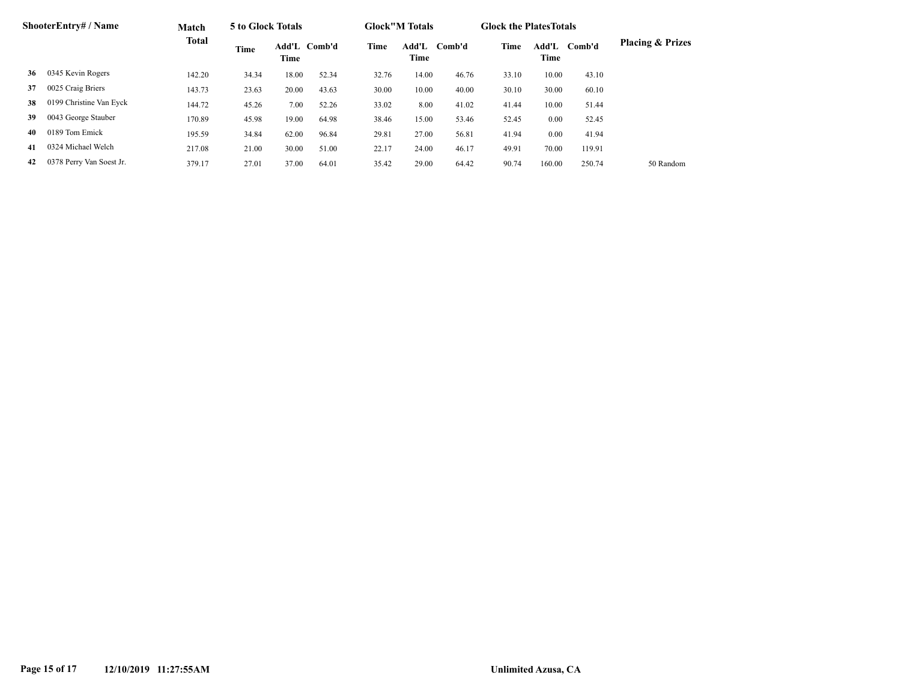| ShooterEntry# / Name |                          | Match        | 5 to Glock Totals |       |              |       | <b>Glock</b> "M Totals |              |       | <b>Glock the Plates Totals</b> |        |                             |
|----------------------|--------------------------|--------------|-------------------|-------|--------------|-------|------------------------|--------------|-------|--------------------------------|--------|-----------------------------|
|                      |                          | <b>Total</b> | Time              | Time  | Add'L Comb'd | Time  | Time                   | Add'L Comb'd | Time  | Add'L<br>Time                  | Comb'd | <b>Placing &amp; Prizes</b> |
| 36                   | 0345 Kevin Rogers        | 142.20       | 34.34             | 18.00 | 52.34        | 32.76 | 14.00                  | 46.76        | 33.10 | 10.00                          | 43.10  |                             |
| 37                   | 0025 Craig Briers        | 143.73       | 23.63             | 20.00 | 43.63        | 30.00 | 10.00                  | 40.00        | 30.10 | 30.00                          | 60.10  |                             |
| 38                   | 0199 Christine Van Eyck  | 144.72       | 45.26             | 7.00  | 52.26        | 33.02 | 8.00                   | 41.02        | 41.44 | 10.00                          | 51.44  |                             |
| 39                   | 0043 George Stauber      | 170.89       | 45.98             | 19.00 | 64.98        | 38.46 | 15.00                  | 53.46        | 52.45 | 0.00                           | 52.45  |                             |
| 40                   | 0189 Tom Emick           | 195.59       | 34.84             | 62.00 | 96.84        | 29.81 | 27.00                  | 56.81        | 41.94 | 0.00                           | 41.94  |                             |
| 41                   | 0324 Michael Welch       | 217.08       | 21.00             | 30.00 | 51.00        | 22.17 | 24.00                  | 46.17        | 49.91 | 70.00                          | 119.91 |                             |
| 42                   | 0378 Perry Van Soest Jr. | 379.17       | 27.01             | 37.00 | 64.01        | 35.42 | 29.00                  | 64.42        | 90.74 | 160.00                         | 250.74 | 50 Random                   |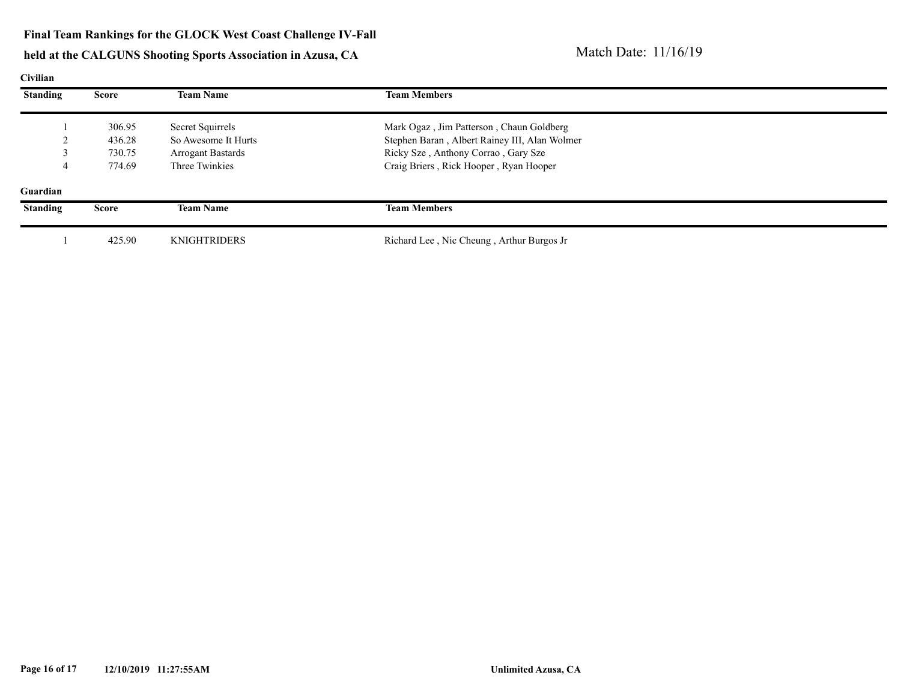# held at the CALGUNS Shooting Sports Association in Azusa, CA Match Date: 11/16/19

#### **Civilian**

| <b>Standing</b> | Score        | <b>Team Name</b>         | <b>Team Members</b>                           |  |
|-----------------|--------------|--------------------------|-----------------------------------------------|--|
|                 | 306.95       | Secret Squirrels         | Mark Ogaz, Jim Patterson, Chaun Goldberg      |  |
|                 | 436.28       | So Awesome It Hurts      | Stephen Baran, Albert Rainey III, Alan Wolmer |  |
|                 | 730.75       | <b>Arrogant Bastards</b> | Ricky Sze, Anthony Corrao, Gary Sze           |  |
|                 | 774.69       | Three Twinkies           | Craig Briers, Rick Hooper, Ryan Hooper        |  |
| Guardian        |              |                          |                                               |  |
| <b>Standing</b> | <b>Score</b> | <b>Team Name</b>         | <b>Team Members</b>                           |  |
|                 | 425.90       | <b>KNIGHTRIDERS</b>      | Richard Lee, Nic Cheung, Arthur Burgos Jr     |  |